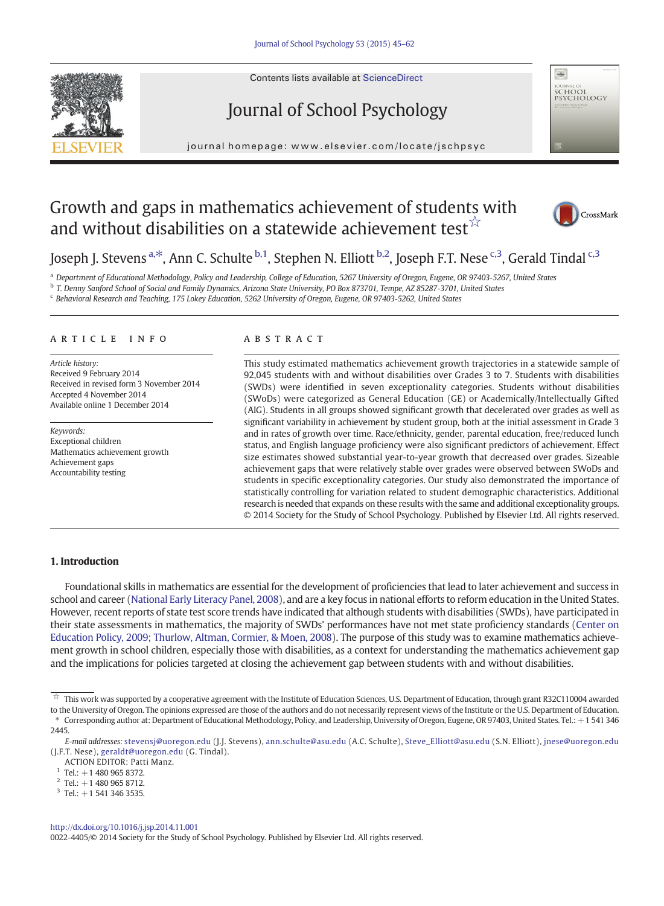

Contents lists available at ScienceDirect

# Journal of School Psychology



journal homepage: www.elsevier.com/locate/ischpsyc journal home page: www.elsevier.com/locate/jschpsychpsych

# Growth and gaps in mathematics achievement of students with and without disabilities on a statewide achievement test  $\hat{\mathbf{x}}$



Joseph J. Stevens a,\*, Ann C. Schulte b,1, Stephen N. Elliott b,2, Joseph F.T. Nese c,3, Gerald Tindal c,3

<sup>a</sup> Department of Educational Methodology, Policy and Leadership, College of Education, 5267 University of Oregon, Eugene, OR 97403-5267, United States

b T. Denny Sanford School of Social and Family Dynamics, Arizona State University, PO Box 873701, Tempe, AZ 85287-3701, United States

<sup>c</sup> Behavioral Research and Teaching, 175 Lokey Education, 5262 University of Oregon, Eugene, OR 97403-5262, United States

#### article info abstract

Article history: Received 9 February 2014 Received in revised form 3 November 2014 Accepted 4 November 2014 Available online 1 December 2014

Keywords: Exceptional children Mathematics achievement growth Achievement gaps Accountability testing

This study estimated mathematics achievement growth trajectories in a statewide sample of 92,045 students with and without disabilities over Grades 3 to 7. Students with disabilities (SWDs) were identified in seven exceptionality categories. Students without disabilities (SWoDs) were categorized as General Education (GE) or Academically/Intellectually Gifted (AIG). Students in all groups showed significant growth that decelerated over grades as well as significant variability in achievement by student group, both at the initial assessment in Grade 3 and in rates of growth over time. Race/ethnicity, gender, parental education, free/reduced lunch status, and English language proficiency were also significant predictors of achievement. Effect size estimates showed substantial year-to-year growth that decreased over grades. Sizeable achievement gaps that were relatively stable over grades were observed between SWoDs and students in specific exceptionality categories. Our study also demonstrated the importance of statistically controlling for variation related to student demographic characteristics. Additional research is needed that expands on these results with the same and additional exceptionality groups. © 2014 Society for the Study of School Psychology. Published by Elsevier Ltd. All rights reserved.

### 1. Introduction

Foundational skills in mathematics are essential for the development of proficiencies that lead to later achievement and success in school and career [\(National Early Literacy Panel, 2008](#page-16-0)), and are a key focus in national efforts to reform education in the United States. However, recent reports of state test score trends have indicated that although students with disabilities (SWDs), have participated in their state assessments in mathematics, the majority of SWDs' performances have not met state proficiency standards [\(Center on](#page-16-0) [Education Policy, 2009; Thurlow, Altman, Cormier, & Moen, 2008](#page-16-0)). The purpose of this study was to examine mathematics achievement growth in school children, especially those with disabilities, as a context for understanding the mathematics achievement gap and the implications for policies targeted at closing the achievement gap between students with and without disabilities.

 $1$  Tel.: +1 480 965 8372.

 $\dot{\mathbb{X}}$  This work was supported by a cooperative agreement with the Institute of Education Sciences, U.S. Department of Education, through grant R32C110004 awarded to the University of Oregon. The opinions expressed are those of the authors and do not necessarily represent views of the Institute or the U.S. Department of Education.

<sup>⁎</sup> Corresponding author at: Department of Educational Methodology, Policy, and Leadership, University of Oregon, Eugene, OR 97403, United States. Tel.: +1 541 346 2445.

E-mail addresses: [stevensj@uoregon.edu](mailto:stevensj@uoregon.edu) (J.J. Stevens), [ann.schulte@asu.edu](mailto:ann.schulte@asu.edu) (A.C. Schulte), [Steve\\_Elliott@asu.edu](mailto:Steve_Elliott@asu.edu) (S.N. Elliott), [jnese@uoregon.edu](mailto:jnese@uoregon.edu) (J.F.T. Nese), [geraldt@uoregon.edu](mailto:geraldt@uoregon.edu) (G. Tindal).

ACTION EDITOR: Patti Manz.

 $2$  Tel.: +1 480 965 8712.

 $3$  Tel.: +1 541 346 3535.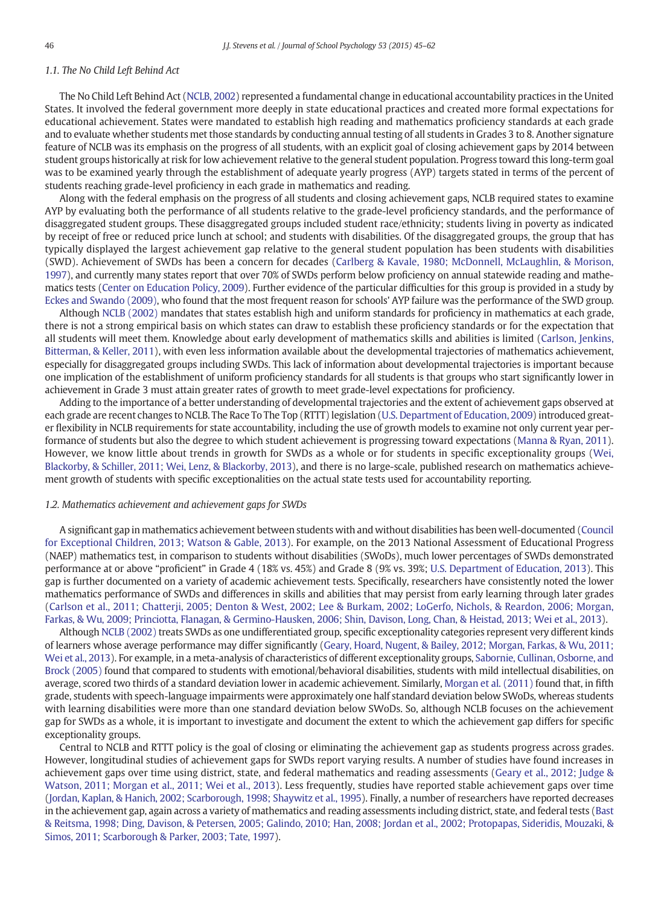## 1.1. The No Child Left Behind Act

The No Child Left Behind Act [\(NCLB, 2002](#page-16-0)) represented a fundamental change in educational accountability practices in the United States. It involved the federal government more deeply in state educational practices and created more formal expectations for educational achievement. States were mandated to establish high reading and mathematics proficiency standards at each grade and to evaluate whether students met those standards by conducting annual testing of all students in Grades 3 to 8. Another signature feature of NCLB was its emphasis on the progress of all students, with an explicit goal of closing achievement gaps by 2014 between student groups historically at risk for low achievement relative to the general student population. Progress toward this long-term goal was to be examined yearly through the establishment of adequate yearly progress (AYP) targets stated in terms of the percent of students reaching grade-level proficiency in each grade in mathematics and reading.

Along with the federal emphasis on the progress of all students and closing achievement gaps, NCLB required states to examine AYP by evaluating both the performance of all students relative to the grade-level proficiency standards, and the performance of disaggregated student groups. These disaggregated groups included student race/ethnicity; students living in poverty as indicated by receipt of free or reduced price lunch at school; and students with disabilities. Of the disaggregated groups, the group that has typically displayed the largest achievement gap relative to the general student population has been students with disabilities (SWD). Achievement of SWDs has been a concern for decades ([Carlberg & Kavale, 1980; McDonnell, McLaughlin, & Morison,](#page-15-0) [1997\)](#page-15-0), and currently many states report that over 70% of SWDs perform below proficiency on annual statewide reading and mathematics tests ([Center on Education Policy, 2009](#page-16-0)). Further evidence of the particular difficulties for this group is provided in a study by [Eckes and Swando \(2009\),](#page-16-0) who found that the most frequent reason for schools' AYP failure was the performance of the SWD group.

Although [NCLB \(2002\)](#page-16-0) mandates that states establish high and uniform standards for proficiency in mathematics at each grade, there is not a strong empirical basis on which states can draw to establish these proficiency standards or for the expectation that all students will meet them. Knowledge about early development of mathematics skills and abilities is limited ([Carlson, Jenkins,](#page-16-0) [Bitterman, & Keller, 2011](#page-16-0)), with even less information available about the developmental trajectories of mathematics achievement, especially for disaggregated groups including SWDs. This lack of information about developmental trajectories is important because one implication of the establishment of uniform proficiency standards for all students is that groups who start significantly lower in achievement in Grade 3 must attain greater rates of growth to meet grade-level expectations for proficiency.

Adding to the importance of a better understanding of developmental trajectories and the extent of achievement gaps observed at each grade are recent changes to NCLB. The Race To The Top (RTTT) legislation [\(U.S. Department of Education, 2009\)](#page-17-0) introduced greater flexibility in NCLB requirements for state accountability, including the use of growth models to examine not only current year performance of students but also the degree to which student achievement is progressing toward expectations [\(Manna & Ryan, 2011\)](#page-16-0). However, we know little about trends in growth for SWDs as a whole or for students in specific exceptionality groups [\(Wei,](#page-17-0) [Blackorby, & Schiller, 2011; Wei, Lenz, & Blackorby, 2013](#page-17-0)), and there is no large-scale, published research on mathematics achievement growth of students with specific exceptionalities on the actual state tests used for accountability reporting.

#### 1.2. Mathematics achievement and achievement gaps for SWDs

A significant gap in mathematics achievement between students with and without disabilities has been well-documented ([Council](#page-16-0) [for Exceptional Children, 2013; Watson & Gable, 2013](#page-16-0)). For example, on the 2013 National Assessment of Educational Progress (NAEP) mathematics test, in comparison to students without disabilities (SWoDs), much lower percentages of SWDs demonstrated performance at or above "proficient" in Grade 4 (18% vs. 45%) and Grade 8 (9% vs. 39%; [U.S. Department of Education, 2013\)](#page-17-0). This gap is further documented on a variety of academic achievement tests. Specifically, researchers have consistently noted the lower mathematics performance of SWDs and differences in skills and abilities that may persist from early learning through later grades [\(Carlson et al., 2011; Chatterji, 2005; Denton & West, 2002; Lee & Burkam, 2002; LoGerfo, Nichols, & Reardon, 2006; Morgan,](#page-16-0) [Farkas, & Wu, 2009; Princiotta, Flanagan, & Germino-Hausken, 2006; Shin, Davison, Long, Chan, & Heistad, 2013; Wei et al., 2013](#page-16-0)).

Although [NCLB \(2002\)](#page-16-0) treats SWDs as one undifferentiated group, specific exceptionality categories represent very different kinds of learners whose average performance may differ significantly ([Geary, Hoard, Nugent, & Bailey, 2012; Morgan, Farkas, & Wu, 2011;](#page-16-0) [Wei et al., 2013\)](#page-16-0). For example, in a meta-analysis of characteristics of different exceptionality groups, [Sabornie, Cullinan, Osborne, and](#page-17-0) [Brock \(2005\)](#page-17-0) found that compared to students with emotional/behavioral disabilities, students with mild intellectual disabilities, on average, scored two thirds of a standard deviation lower in academic achievement. Similarly, [Morgan et al. \(2011\)](#page-16-0) found that, in fifth grade, students with speech-language impairments were approximately one half standard deviation below SWoDs, whereas students with learning disabilities were more than one standard deviation below SWoDs. So, although NCLB focuses on the achievement gap for SWDs as a whole, it is important to investigate and document the extent to which the achievement gap differs for specific exceptionality groups.

Central to NCLB and RTTT policy is the goal of closing or eliminating the achievement gap as students progress across grades. However, longitudinal studies of achievement gaps for SWDs report varying results. A number of studies have found increases in achievement gaps over time using district, state, and federal mathematics and reading assessments [\(Geary et al., 2012; Judge &](#page-16-0) [Watson, 2011; Morgan et al., 2011; Wei et al., 2013\)](#page-16-0). Less frequently, studies have reported stable achievement gaps over time [\(Jordan, Kaplan, & Hanich, 2002; Scarborough, 1998; Shaywitz et al., 1995](#page-16-0)). Finally, a number of researchers have reported decreases in the achievement gap, again across a variety of mathematics and reading assessments including district, state, and federal tests [\(Bast](#page-15-0) [& Reitsma, 1998; Ding, Davison, & Petersen, 2005; Galindo, 2010; Han, 2008; Jordan et al., 2002; Protopapas, Sideridis, Mouzaki, &](#page-15-0) [Simos, 2011; Scarborough & Parker, 2003; Tate, 1997\)](#page-15-0).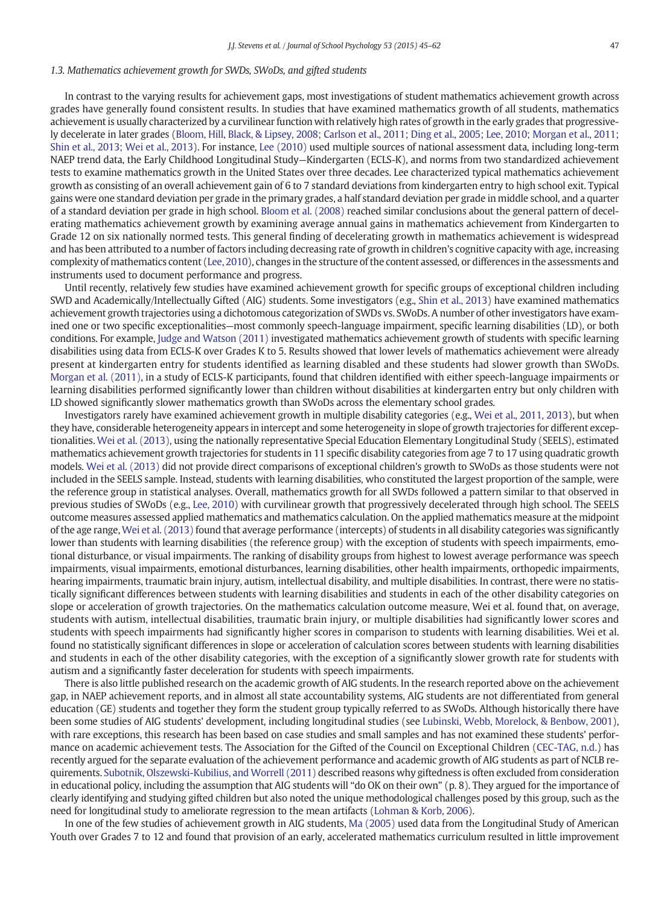# 1.3. Mathematics achievement growth for SWDs, SWoDs, and gifted students

In contrast to the varying results for achievement gaps, most investigations of student mathematics achievement growth across grades have generally found consistent results. In studies that have examined mathematics growth of all students, mathematics achievement is usually characterized by a curvilinear function with relatively high rates of growth in the early grades that progressively decelerate in later grades [\(Bloom, Hill, Black, & Lipsey, 2008; Carlson et al., 2011; Ding et al., 2005; Lee, 2010; Morgan et al., 2011;](#page-15-0) [Shin et al., 2013; Wei et al., 2013](#page-15-0)). For instance, [Lee \(2010\)](#page-16-0) used multiple sources of national assessment data, including long-term NAEP trend data, the Early Childhood Longitudinal Study—Kindergarten (ECLS-K), and norms from two standardized achievement tests to examine mathematics growth in the United States over three decades. Lee characterized typical mathematics achievement growth as consisting of an overall achievement gain of 6 to 7 standard deviations from kindergarten entry to high school exit. Typical gains were one standard deviation per grade in the primary grades, a half standard deviation per grade in middle school, and a quarter of a standard deviation per grade in high school. [Bloom et al. \(2008\)](#page-15-0) reached similar conclusions about the general pattern of decelerating mathematics achievement growth by examining average annual gains in mathematics achievement from Kindergarten to Grade 12 on six nationally normed tests. This general finding of decelerating growth in mathematics achievement is widespread and has been attributed to a number of factors including decreasing rate of growth in children's cognitive capacity with age, increasing complexity of mathematics content [\(Lee, 2010\)](#page-16-0), changes in the structure of the content assessed, or differences in the assessments and instruments used to document performance and progress.

Until recently, relatively few studies have examined achievement growth for specific groups of exceptional children including SWD and Academically/Intellectually Gifted (AIG) students. Some investigators (e.g., [Shin et al., 2013\)](#page-17-0) have examined mathematics achievement growth trajectories using a dichotomous categorization of SWDs vs. SWoDs. A number of other investigators have examined one or two specific exceptionalities—most commonly speech-language impairment, specific learning disabilities (LD), or both conditions. For example, [Judge and Watson \(2011\)](#page-16-0) investigated mathematics achievement growth of students with specific learning disabilities using data from ECLS-K over Grades K to 5. Results showed that lower levels of mathematics achievement were already present at kindergarten entry for students identified as learning disabled and these students had slower growth than SWoDs. [Morgan et al. \(2011\)](#page-16-0), in a study of ECLS-K participants, found that children identified with either speech-language impairments or learning disabilities performed significantly lower than children without disabilities at kindergarten entry but only children with LD showed significantly slower mathematics growth than SWoDs across the elementary school grades.

Investigators rarely have examined achievement growth in multiple disability categories (e.g., [Wei et al., 2011, 2013\)](#page-17-0), but when they have, considerable heterogeneity appears in intercept and some heterogeneity in slope of growth trajectories for different exceptionalities. [Wei et al. \(2013\),](#page-17-0) using the nationally representative Special Education Elementary Longitudinal Study (SEELS), estimated mathematics achievement growth trajectories for students in 11 specific disability categories from age 7 to 17 using quadratic growth models. [Wei et al. \(2013\)](#page-17-0) did not provide direct comparisons of exceptional children's growth to SWoDs as those students were not included in the SEELS sample. Instead, students with learning disabilities, who constituted the largest proportion of the sample, were the reference group in statistical analyses. Overall, mathematics growth for all SWDs followed a pattern similar to that observed in previous studies of SWoDs (e.g., [Lee, 2010\)](#page-16-0) with curvilinear growth that progressively decelerated through high school. The SEELS outcome measures assessed applied mathematics and mathematics calculation. On the applied mathematics measure at the midpoint of the age range, [Wei et al. \(2013\)](#page-17-0) found that average performance (intercepts) of students in all disability categories was significantly lower than students with learning disabilities (the reference group) with the exception of students with speech impairments, emotional disturbance, or visual impairments. The ranking of disability groups from highest to lowest average performance was speech impairments, visual impairments, emotional disturbances, learning disabilities, other health impairments, orthopedic impairments, hearing impairments, traumatic brain injury, autism, intellectual disability, and multiple disabilities. In contrast, there were no statistically significant differences between students with learning disabilities and students in each of the other disability categories on slope or acceleration of growth trajectories. On the mathematics calculation outcome measure, Wei et al. found that, on average, students with autism, intellectual disabilities, traumatic brain injury, or multiple disabilities had significantly lower scores and students with speech impairments had significantly higher scores in comparison to students with learning disabilities. Wei et al. found no statistically significant differences in slope or acceleration of calculation scores between students with learning disabilities and students in each of the other disability categories, with the exception of a significantly slower growth rate for students with autism and a significantly faster deceleration for students with speech impairments.

There is also little published research on the academic growth of AIG students. In the research reported above on the achievement gap, in NAEP achievement reports, and in almost all state accountability systems, AIG students are not differentiated from general education (GE) students and together they form the student group typically referred to as SWoDs. Although historically there have been some studies of AIG students' development, including longitudinal studies (see [Lubinski, Webb, Morelock, & Benbow, 2001](#page-16-0)), with rare exceptions, this research has been based on case studies and small samples and has not examined these students' performance on academic achievement tests. The Association for the Gifted of the Council on Exceptional Children ([CEC-TAG, n.d.](#page-16-0)) has recently argued for the separate evaluation of the achievement performance and academic growth of AIG students as part of NCLB requirements. [Subotnik, Olszewski-Kubilius, and Worrell \(2011\)](#page-17-0) described reasons why giftedness is often excluded from consideration in educational policy, including the assumption that AIG students will "do OK on their own" (p. 8). They argued for the importance of clearly identifying and studying gifted children but also noted the unique methodological challenges posed by this group, such as the need for longitudinal study to ameliorate regression to the mean artifacts ([Lohman & Korb, 2006\)](#page-16-0).

In one of the few studies of achievement growth in AIG students, [Ma \(2005\)](#page-16-0) used data from the Longitudinal Study of American Youth over Grades 7 to 12 and found that provision of an early, accelerated mathematics curriculum resulted in little improvement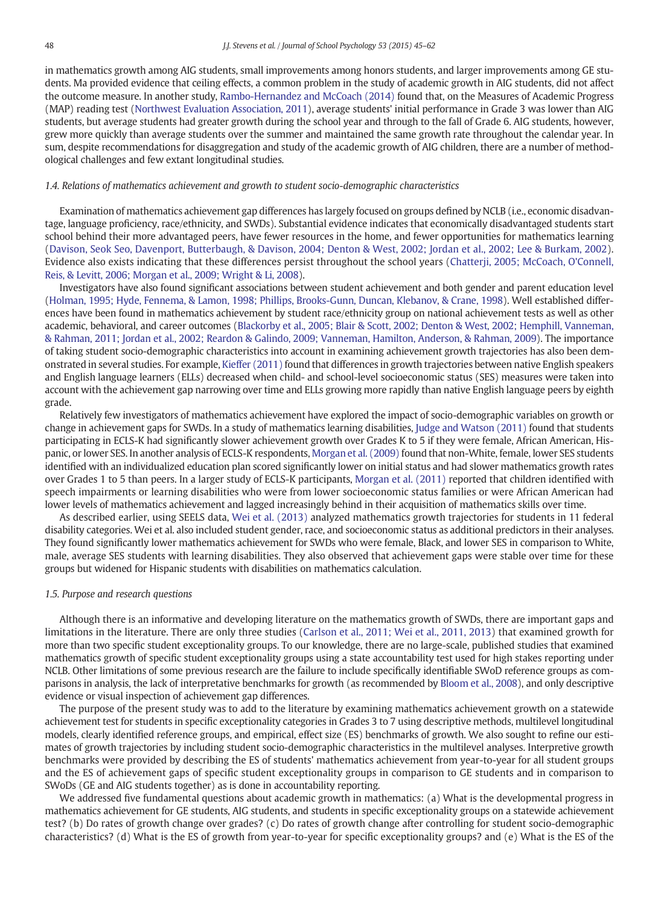in mathematics growth among AIG students, small improvements among honors students, and larger improvements among GE students. Ma provided evidence that ceiling effects, a common problem in the study of academic growth in AIG students, did not affect the outcome measure. In another study, [Rambo-Hernandez and McCoach \(2014\)](#page-17-0) found that, on the Measures of Academic Progress (MAP) reading test [\(Northwest Evaluation Association, 2011](#page-16-0)), average students' initial performance in Grade 3 was lower than AIG students, but average students had greater growth during the school year and through to the fall of Grade 6. AIG students, however, grew more quickly than average students over the summer and maintained the same growth rate throughout the calendar year. In sum, despite recommendations for disaggregation and study of the academic growth of AIG children, there are a number of methodological challenges and few extant longitudinal studies.

#### 1.4. Relations of mathematics achievement and growth to student socio-demographic characteristics

Examination of mathematics achievement gap differences has largely focused on groups defined by NCLB (i.e., economic disadvantage, language proficiency, race/ethnicity, and SWDs). Substantial evidence indicates that economically disadvantaged students start school behind their more advantaged peers, have fewer resources in the home, and fewer opportunities for mathematics learning [\(Davison, Seok Seo, Davenport, Butterbaugh, & Davison, 2004; Denton & West, 2002; Jordan et al., 2002; Lee & Burkam, 2002\)](#page-16-0). Evidence also exists indicating that these differences persist throughout the school years [\(Chatterji, 2005; McCoach, O'Connell,](#page-16-0) [Reis, & Levitt, 2006; Morgan et al., 2009; Wright & Li, 2008\)](#page-16-0).

Investigators have also found significant associations between student achievement and both gender and parent education level [\(Holman, 1995; Hyde, Fennema, & Lamon, 1998; Phillips, Brooks-Gunn, Duncan, Klebanov, & Crane, 1998](#page-16-0)). Well established differences have been found in mathematics achievement by student race/ethnicity group on national achievement tests as well as other academic, behavioral, and career outcomes ([Blackorby et al., 2005; Blair & Scott, 2002; Denton & West, 2002; Hemphill, Vanneman,](#page-15-0) [& Rahman, 2011; Jordan et al., 2002; Reardon & Galindo, 2009; Vanneman, Hamilton, Anderson, & Rahman, 2009\)](#page-15-0). The importance of taking student socio-demographic characteristics into account in examining achievement growth trajectories has also been demonstrated in several studies. For example, [Kieffer \(2011\)](#page-16-0) found that differences in growth trajectories between native English speakers and English language learners (ELLs) decreased when child- and school-level socioeconomic status (SES) measures were taken into account with the achievement gap narrowing over time and ELLs growing more rapidly than native English language peers by eighth grade.

Relatively few investigators of mathematics achievement have explored the impact of socio-demographic variables on growth or change in achievement gaps for SWDs. In a study of mathematics learning disabilities, [Judge and Watson \(2011\)](#page-16-0) found that students participating in ECLS-K had significantly slower achievement growth over Grades K to 5 if they were female, African American, Hispanic, or lower SES. In another analysis of ECLS-K respondents, [Morgan et al. \(2009\)](#page-16-0) found that non-White, female, lower SES students identified with an individualized education plan scored significantly lower on initial status and had slower mathematics growth rates over Grades 1 to 5 than peers. In a larger study of ECLS-K participants, [Morgan et al. \(2011\)](#page-16-0) reported that children identified with speech impairments or learning disabilities who were from lower socioeconomic status families or were African American had lower levels of mathematics achievement and lagged increasingly behind in their acquisition of mathematics skills over time.

As described earlier, using SEELS data, [Wei et al. \(2013\)](#page-17-0) analyzed mathematics growth trajectories for students in 11 federal disability categories. Wei et al. also included student gender, race, and socioeconomic status as additional predictors in their analyses. They found significantly lower mathematics achievement for SWDs who were female, Black, and lower SES in comparison to White, male, average SES students with learning disabilities. They also observed that achievement gaps were stable over time for these groups but widened for Hispanic students with disabilities on mathematics calculation.

#### 1.5. Purpose and research questions

Although there is an informative and developing literature on the mathematics growth of SWDs, there are important gaps and limitations in the literature. There are only three studies ([Carlson et al., 2011; Wei et al., 2011, 2013\)](#page-16-0) that examined growth for more than two specific student exceptionality groups. To our knowledge, there are no large-scale, published studies that examined mathematics growth of specific student exceptionality groups using a state accountability test used for high stakes reporting under NCLB. Other limitations of some previous research are the failure to include specifically identifiable SWoD reference groups as comparisons in analysis, the lack of interpretative benchmarks for growth (as recommended by [Bloom et al., 2008](#page-15-0)), and only descriptive evidence or visual inspection of achievement gap differences.

The purpose of the present study was to add to the literature by examining mathematics achievement growth on a statewide achievement test for students in specific exceptionality categories in Grades 3 to 7 using descriptive methods, multilevel longitudinal models, clearly identified reference groups, and empirical, effect size (ES) benchmarks of growth. We also sought to refine our estimates of growth trajectories by including student socio-demographic characteristics in the multilevel analyses. Interpretive growth benchmarks were provided by describing the ES of students' mathematics achievement from year-to-year for all student groups and the ES of achievement gaps of specific student exceptionality groups in comparison to GE students and in comparison to SWoDs (GE and AIG students together) as is done in accountability reporting.

We addressed five fundamental questions about academic growth in mathematics: (a) What is the developmental progress in mathematics achievement for GE students, AIG students, and students in specific exceptionality groups on a statewide achievement test? (b) Do rates of growth change over grades? (c) Do rates of growth change after controlling for student socio-demographic characteristics? (d) What is the ES of growth from year-to-year for specific exceptionality groups? and (e) What is the ES of the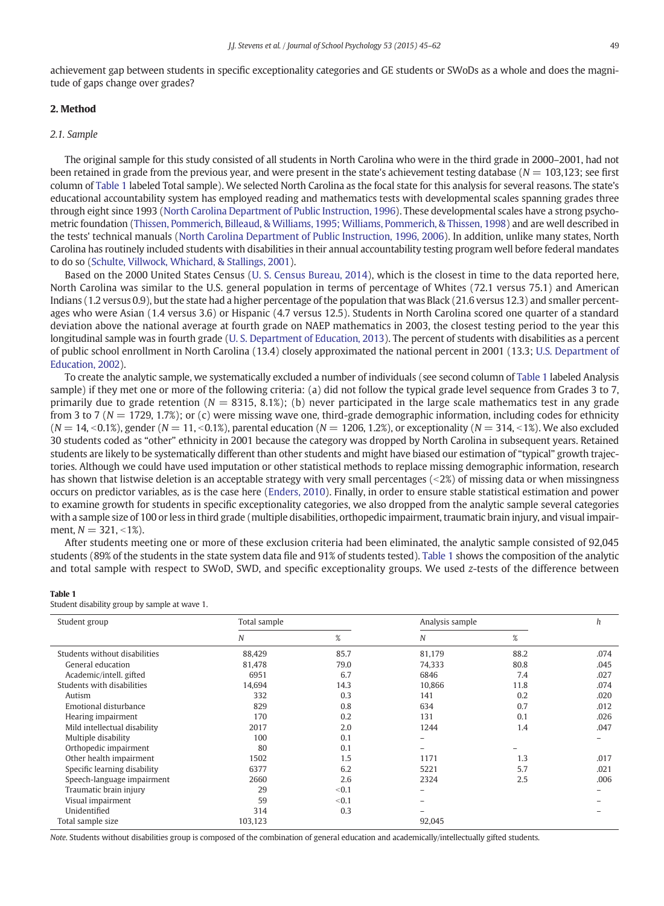<span id="page-4-0"></span>achievement gap between students in specific exceptionality categories and GE students or SWoDs as a whole and does the magnitude of gaps change over grades?

# 2. Method

### 2.1. Sample

The original sample for this study consisted of all students in North Carolina who were in the third grade in 2000–2001, had not been retained in grade from the previous year, and were present in the state's achievement testing database ( $N = 103,123$ ; see first column of Table 1 labeled Total sample). We selected North Carolina as the focal state for this analysis for several reasons. The state's educational accountability system has employed reading and mathematics tests with developmental scales spanning grades three through eight since 1993 [\(North Carolina Department of Public Instruction, 1996](#page-16-0)). These developmental scales have a strong psychometric foundation [\(Thissen, Pommerich, Billeaud, & Williams, 1995; Williams, Pommerich, & Thissen, 1998\)](#page-17-0) and are well described in the tests' technical manuals ([North Carolina Department of Public Instruction, 1996, 2006\)](#page-16-0). In addition, unlike many states, North Carolina has routinely included students with disabilities in their annual accountability testing program well before federal mandates to do so [\(Schulte, Villwock, Whichard, & Stallings, 2001\)](#page-17-0).

Based on the 2000 United States Census ([U. S. Census Bureau, 2014](#page-17-0)), which is the closest in time to the data reported here, North Carolina was similar to the U.S. general population in terms of percentage of Whites (72.1 versus 75.1) and American Indians (1.2 versus 0.9), but the state had a higher percentage of the population that was Black (21.6 versus 12.3) and smaller percentages who were Asian (1.4 versus 3.6) or Hispanic (4.7 versus 12.5). Students in North Carolina scored one quarter of a standard deviation above the national average at fourth grade on NAEP mathematics in 2003, the closest testing period to the year this longitudinal sample was in fourth grade ([U. S. Department of Education, 2013](#page-17-0)). The percent of students with disabilities as a percent of public school enrollment in North Carolina (13.4) closely approximated the national percent in 2001 (13.3; [U.S. Department of](#page-17-0) [Education, 2002](#page-17-0)).

To create the analytic sample, we systematically excluded a number of individuals (see second column of Table 1 labeled Analysis sample) if they met one or more of the following criteria: (a) did not follow the typical grade level sequence from Grades 3 to 7, primarily due to grade retention ( $N = 8315, 8.1\%$ ); (b) never participated in the large scale mathematics test in any grade from 3 to 7 ( $N = 1729, 1.7\%$ ); or (c) were missing wave one, third-grade demographic information, including codes for ethnicity  $(N = 14, 0.1\%)$ , gender  $(N = 11, 0.1\%)$ , parental education  $(N = 1206, 1.2\%)$ , or exceptionality  $(N = 314, 0.1\%)$ . We also excluded 30 students coded as "other" ethnicity in 2001 because the category was dropped by North Carolina in subsequent years. Retained students are likely to be systematically different than other students and might have biased our estimation of "typical" growth trajectories. Although we could have used imputation or other statistical methods to replace missing demographic information, research has shown that listwise deletion is an acceptable strategy with very small percentages  $\langle 2\% \rangle$  of missing data or when missingness occurs on predictor variables, as is the case here [\(Enders, 2010\)](#page-16-0). Finally, in order to ensure stable statistical estimation and power to examine growth for students in specific exceptionality categories, we also dropped from the analytic sample several categories with a sample size of 100 or less in third grade (multiple disabilities, orthopedic impairment, traumatic brain injury, and visual impairment,  $N = 321, \leq 1\%$ ).

After students meeting one or more of these exclusion criteria had been eliminated, the analytic sample consisted of 92,045 students (89% of the students in the state system data file and 91% of students tested). Table 1 shows the composition of the analytic and total sample with respect to SWoD, SWD, and specific exceptionality groups. We used z-tests of the difference between

#### Table 1

Student disability group by sample at wave 1.

| Student group                 | Total sample |       |        | Analysis sample |      |  |
|-------------------------------|--------------|-------|--------|-----------------|------|--|
|                               | N            | %     | N      | %               |      |  |
| Students without disabilities | 88,429       | 85.7  | 81,179 | 88.2            | .074 |  |
| General education             | 81,478       | 79.0  | 74,333 | 80.8            | .045 |  |
| Academic/intell, gifted       | 6951         | 6.7   | 6846   | 7.4             | .027 |  |
| Students with disabilities    | 14,694       | 14.3  | 10,866 | 11.8            | .074 |  |
| Autism                        | 332          | 0.3   | 141    | 0.2             | .020 |  |
| Emotional disturbance         | 829          | 0.8   | 634    | 0.7             | .012 |  |
| Hearing impairment            | 170          | 0.2   | 131    | 0.1             | .026 |  |
| Mild intellectual disability  | 2017         | 2.0   | 1244   | 1.4             | .047 |  |
| Multiple disability           | 100          | 0.1   | -      |                 | -    |  |
| Orthopedic impairment         | 80           | 0.1   |        |                 |      |  |
| Other health impairment       | 1502         | 1.5   | 1171   | 1.3             | .017 |  |
| Specific learning disability  | 6377         | 6.2   | 5221   | 5.7             | .021 |  |
| Speech-language impairment    | 2660         | 2.6   | 2324   | 2.5             | .006 |  |
| Traumatic brain injury        | 29           | < 0.1 |        |                 |      |  |
| Visual impairment             | 59           | < 0.1 |        |                 |      |  |
| Unidentified                  | 314          | 0.3   |        |                 |      |  |
| Total sample size             | 103,123      |       | 92,045 |                 |      |  |

Note. Students without disabilities group is composed of the combination of general education and academically/intellectually gifted students.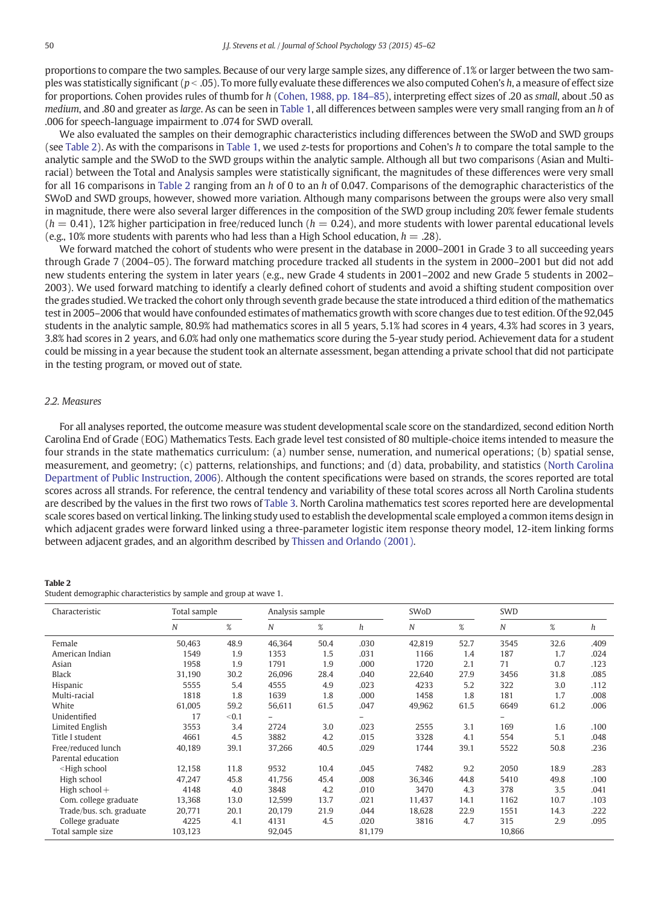<span id="page-5-0"></span>proportions to compare the two samples. Because of our very large sample sizes, any difference of .1% or larger between the two samples was statistically significant ( $p < .05$ ). To more fully evaluate these differences we also computed Cohen's h, a measure of effect size for proportions. Cohen provides rules of thumb for h ([Cohen, 1988, pp. 184](#page-16-0)–85), interpreting effect sizes of .20 as small, about .50 as medium, and .80 and greater as large. As can be seen in [Table 1](#page-4-0), all differences between samples were very small ranging from an h of .006 for speech-language impairment to .074 for SWD overall.

We also evaluated the samples on their demographic characteristics including differences between the SWoD and SWD groups (see Table 2). As with the comparisons in [Table 1,](#page-4-0) we used z-tests for proportions and Cohen's h to compare the total sample to the analytic sample and the SWoD to the SWD groups within the analytic sample. Although all but two comparisons (Asian and Multiracial) between the Total and Analysis samples were statistically significant, the magnitudes of these differences were very small for all 16 comparisons in Table 2 ranging from an h of 0 to an h of 0.047. Comparisons of the demographic characteristics of the SWoD and SWD groups, however, showed more variation. Although many comparisons between the groups were also very small in magnitude, there were also several larger differences in the composition of the SWD group including 20% fewer female students  $(h = 0.41)$ , 12% higher participation in free/reduced lunch  $(h = 0.24)$ , and more students with lower parental educational levels (e.g., 10% more students with parents who had less than a High School education,  $h = .28$ ).

We forward matched the cohort of students who were present in the database in 2000–2001 in Grade 3 to all succeeding years through Grade 7 (2004–05). The forward matching procedure tracked all students in the system in 2000–2001 but did not add new students entering the system in later years (e.g., new Grade 4 students in 2001–2002 and new Grade 5 students in 2002– 2003). We used forward matching to identify a clearly defined cohort of students and avoid a shifting student composition over the grades studied. We tracked the cohort only through seventh grade because the state introduced a third edition of the mathematics test in 2005–2006 that would have confounded estimates of mathematics growth with score changes due to test edition. Of the 92,045 students in the analytic sample, 80.9% had mathematics scores in all 5 years, 5.1% had scores in 4 years, 4.3% had scores in 3 years, 3.8% had scores in 2 years, and 6.0% had only one mathematics score during the 5-year study period. Achievement data for a student could be missing in a year because the student took an alternate assessment, began attending a private school that did not participate in the testing program, or moved out of state.

#### 2.2. Measures

For all analyses reported, the outcome measure was student developmental scale score on the standardized, second edition North Carolina End of Grade (EOG) Mathematics Tests. Each grade level test consisted of 80 multiple-choice items intended to measure the four strands in the state mathematics curriculum: (a) number sense, numeration, and numerical operations; (b) spatial sense, measurement, and geometry; (c) patterns, relationships, and functions; and (d) data, probability, and statistics [\(North Carolina](#page-16-0) [Department of Public Instruction, 2006\)](#page-16-0). Although the content specifications were based on strands, the scores reported are total scores across all strands. For reference, the central tendency and variability of these total scores across all North Carolina students are described by the values in the first two rows of [Table 3](#page-6-0). North Carolina mathematics test scores reported here are developmental scale scores based on vertical linking. The linking study used to establish the developmental scale employed a common items design in which adjacent grades were forward linked using a three-parameter logistic item response theory model, 12-item linking forms between adjacent grades, and an algorithm described by [Thissen and Orlando \(2001\).](#page-17-0)

#### Table 2

| Student demographic characteristics by sample and group at wave 1. |  |  |
|--------------------------------------------------------------------|--|--|
|--------------------------------------------------------------------|--|--|

| Characteristic           | Total sample |       | Analysis sample |      |        | SWoD     |      | <b>SWD</b> |      |      |
|--------------------------|--------------|-------|-----------------|------|--------|----------|------|------------|------|------|
|                          | N            | $\%$  | N               | $\%$ | h      | $\cal N$ | $\%$ | N          | $\%$ | h    |
| Female                   | 50,463       | 48.9  | 46,364          | 50.4 | .030   | 42,819   | 52.7 | 3545       | 32.6 | .409 |
| American Indian          | 1549         | 1.9   | 1353            | 1.5  | .031   | 1166     | 1.4  | 187        | 1.7  | .024 |
| Asian                    | 1958         | 1.9   | 1791            | 1.9  | .000   | 1720     | 2.1  | 71         | 0.7  | .123 |
| <b>Black</b>             | 31,190       | 30.2  | 26,096          | 28.4 | .040   | 22,640   | 27.9 | 3456       | 31.8 | .085 |
| Hispanic                 | 5555         | 5.4   | 4555            | 4.9  | .023   | 4233     | 5.2  | 322        | 3.0  | .112 |
| Multi-racial             | 1818         | 1.8   | 1639            | 1.8  | .000   | 1458     | 1.8  | 181        | 1.7  | .008 |
| White                    | 61,005       | 59.2  | 56,611          | 61.5 | .047   | 49,962   | 61.5 | 6649       | 61.2 | .006 |
| Unidentified             | 17           | < 0.1 |                 |      |        |          |      |            |      |      |
| Limited English          | 3553         | 3.4   | 2724            | 3.0  | .023   | 2555     | 3.1  | 169        | 1.6  | .100 |
| Title I student          | 4661         | 4.5   | 3882            | 4.2  | .015   | 3328     | 4.1  | 554        | 5.1  | .048 |
| Free/reduced lunch       | 40,189       | 39.1  | 37,266          | 40.5 | .029   | 1744     | 39.1 | 5522       | 50.8 | .236 |
| Parental education       |              |       |                 |      |        |          |      |            |      |      |
| $\leq$ High school       | 12,158       | 11.8  | 9532            | 10.4 | .045   | 7482     | 9.2  | 2050       | 18.9 | .283 |
| High school              | 47,247       | 45.8  | 41,756          | 45.4 | .008   | 36,346   | 44.8 | 5410       | 49.8 | .100 |
| High school $+$          | 4148         | 4.0   | 3848            | 4.2  | .010   | 3470     | 4.3  | 378        | 3.5  | .041 |
| Com. college graduate    | 13,368       | 13.0  | 12,599          | 13.7 | .021   | 11,437   | 14.1 | 1162       | 10.7 | .103 |
| Trade/bus. sch. graduate | 20,771       | 20.1  | 20,179          | 21.9 | .044   | 18,628   | 22.9 | 1551       | 14.3 | .222 |
| College graduate         | 4225         | 4.1   | 4131            | 4.5  | .020   | 3816     | 4.7  | 315        | 2.9  | .095 |
| Total sample size        | 103,123      |       | 92,045          |      | 81,179 |          |      | 10,866     |      |      |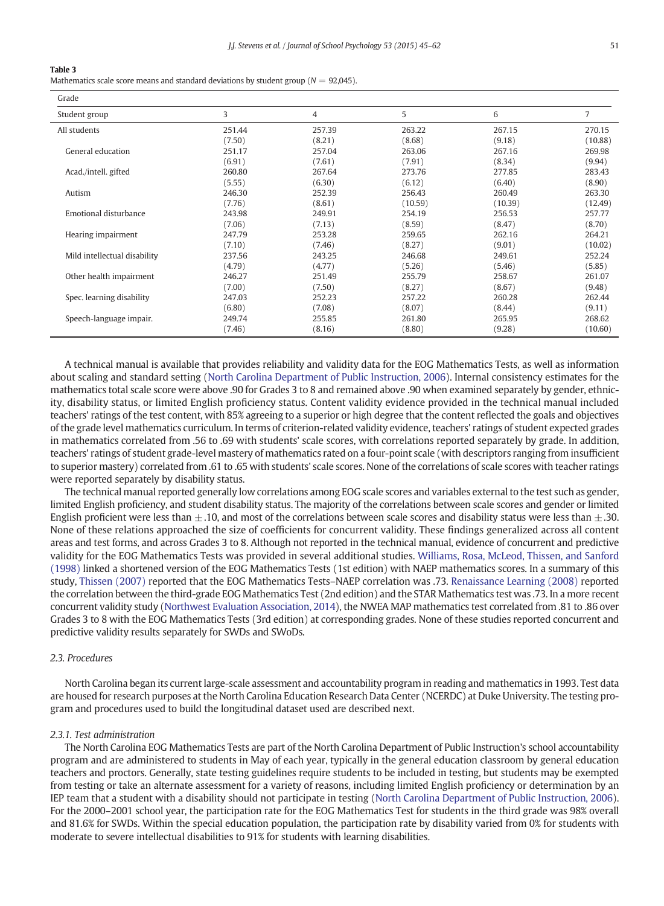# <span id="page-6-0"></span>Table 3

Mathematics scale score means and standard deviations by student group ( $N = 92,045$ ).

| Grade                        |        |        |         |         |         |
|------------------------------|--------|--------|---------|---------|---------|
| Student group                | 3      | 4      | 5       | 6       | 7       |
| All students                 | 251.44 | 257.39 | 263.22  | 267.15  | 270.15  |
|                              | (7.50) | (8.21) | (8.68)  | (9.18)  | (10.88) |
| General education            | 251.17 | 257.04 | 263.06  | 267.16  | 269.98  |
|                              | (6.91) | (7.61) | (7.91)  | (8.34)  | (9.94)  |
| Acad./intell. gifted         | 260.80 | 267.64 | 273.76  | 277.85  | 283.43  |
|                              | (5.55) | (6.30) | (6.12)  | (6.40)  | (8.90)  |
| Autism                       | 246.30 | 252.39 | 256.43  | 260.49  | 263.30  |
|                              | (7.76) | (8.61) | (10.59) | (10.39) | (12.49) |
| Emotional disturbance        | 243.98 | 249.91 | 254.19  | 256.53  | 257.77  |
|                              | (7.06) | (7.13) | (8.59)  | (8.47)  | (8.70)  |
| Hearing impairment           | 247.79 | 253.28 | 259.65  | 262.16  | 264.21  |
|                              | (7.10) | (7.46) | (8.27)  | (9.01)  | (10.02) |
| Mild intellectual disability | 237.56 | 243.25 | 246.68  | 249.61  | 252.24  |
|                              | (4.79) | (4.77) | (5.26)  | (5.46)  | (5.85)  |
| Other health impairment      | 246.27 | 251.49 | 255.79  | 258.67  | 261.07  |
|                              | (7.00) | (7.50) | (8.27)  | (8.67)  | (9.48)  |
| Spec. learning disability    | 247.03 | 252.23 | 257.22  | 260.28  | 262.44  |
|                              | (6.80) | (7.08) | (8.07)  | (8.44)  | (9.11)  |
| Speech-language impair.      | 249.74 | 255.85 | 261.80  | 265.95  | 268.62  |
|                              | (7.46) | (8.16) | (8.80)  | (9.28)  | (10.60) |

A technical manual is available that provides reliability and validity data for the EOG Mathematics Tests, as well as information about scaling and standard setting [\(North Carolina Department of Public Instruction, 2006](#page-16-0)). Internal consistency estimates for the mathematics total scale score were above .90 for Grades 3 to 8 and remained above .90 when examined separately by gender, ethnicity, disability status, or limited English proficiency status. Content validity evidence provided in the technical manual included teachers' ratings of the test content, with 85% agreeing to a superior or high degree that the content reflected the goals and objectives of the grade level mathematics curriculum. In terms of criterion-related validity evidence, teachers' ratings of student expected grades in mathematics correlated from .56 to .69 with students' scale scores, with correlations reported separately by grade. In addition, teachers' ratings of student grade-level mastery of mathematics rated on a four-point scale (with descriptors ranging from insufficient to superior mastery) correlated from .61 to .65 with students' scale scores. None of the correlations of scale scores with teacher ratings were reported separately by disability status.

The technical manual reported generally low correlations among EOG scale scores and variables external to the test such as gender, limited English proficiency, and student disability status. The majority of the correlations between scale scores and gender or limited English proficient were less than  $+.10$ , and most of the correlations between scale scores and disability status were less than  $+.30$ . None of these relations approached the size of coefficients for concurrent validity. These findings generalized across all content areas and test forms, and across Grades 3 to 8. Although not reported in the technical manual, evidence of concurrent and predictive validity for the EOG Mathematics Tests was provided in several additional studies. [Williams, Rosa, McLeod, Thissen, and Sanford](#page-17-0) [\(1998\)](#page-17-0) linked a shortened version of the EOG Mathematics Tests (1st edition) with NAEP mathematics scores. In a summary of this study, [Thissen \(2007\)](#page-17-0) reported that the EOG Mathematics Tests–NAEP correlation was .73. [Renaissance Learning \(2008\)](#page-17-0) reported the correlation between the third-grade EOG Mathematics Test (2nd edition) and the STAR Mathematics test was .73. In a more recent concurrent validity study ([Northwest Evaluation Association, 2014\)](#page-16-0), the NWEA MAP mathematics test correlated from .81 to .86 over Grades 3 to 8 with the EOG Mathematics Tests (3rd edition) at corresponding grades. None of these studies reported concurrent and predictive validity results separately for SWDs and SWoDs.

#### 2.3. Procedures

North Carolina began its current large-scale assessment and accountability program in reading and mathematics in 1993. Test data are housed for research purposes at the North Carolina Education Research Data Center (NCERDC) at Duke University. The testing program and procedures used to build the longitudinal dataset used are described next.

# 2.3.1. Test administration

The North Carolina EOG Mathematics Tests are part of the North Carolina Department of Public Instruction's school accountability program and are administered to students in May of each year, typically in the general education classroom by general education teachers and proctors. Generally, state testing guidelines require students to be included in testing, but students may be exempted from testing or take an alternate assessment for a variety of reasons, including limited English proficiency or determination by an IEP team that a student with a disability should not participate in testing ([North Carolina Department of Public Instruction, 2006](#page-16-0)). For the 2000–2001 school year, the participation rate for the EOG Mathematics Test for students in the third grade was 98% overall and 81.6% for SWDs. Within the special education population, the participation rate by disability varied from 0% for students with moderate to severe intellectual disabilities to 91% for students with learning disabilities.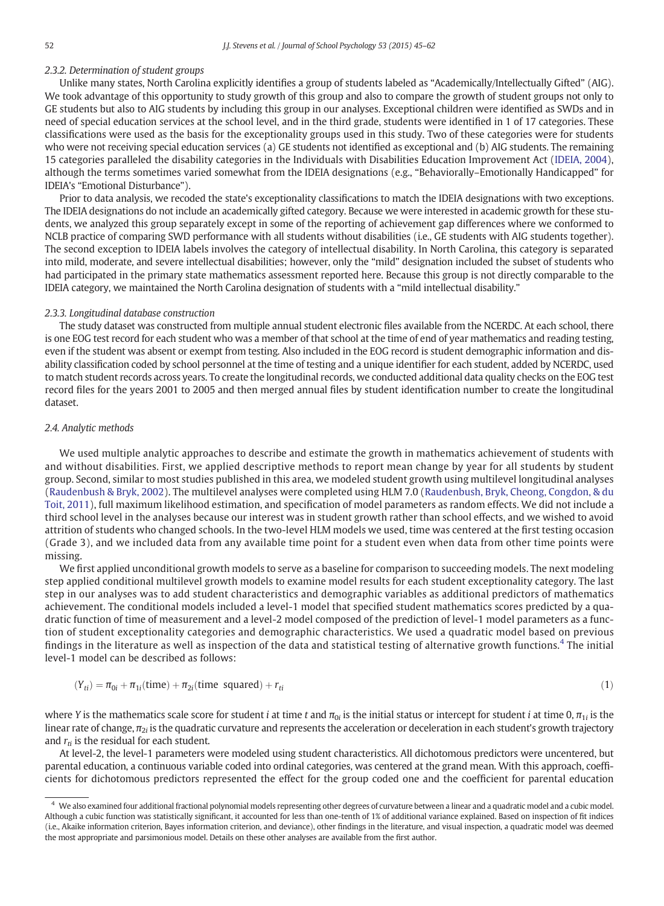# 2.3.2. Determination of student groups

Unlike many states, North Carolina explicitly identifies a group of students labeled as "Academically/Intellectually Gifted" (AIG). We took advantage of this opportunity to study growth of this group and also to compare the growth of student groups not only to GE students but also to AIG students by including this group in our analyses. Exceptional children were identified as SWDs and in need of special education services at the school level, and in the third grade, students were identified in 1 of 17 categories. These classifications were used as the basis for the exceptionality groups used in this study. Two of these categories were for students who were not receiving special education services (a) GE students not identified as exceptional and (b) AIG students. The remaining 15 categories paralleled the disability categories in the Individuals with Disabilities Education Improvement Act ([IDEIA, 2004\)](#page-16-0), although the terms sometimes varied somewhat from the IDEIA designations (e.g., "Behaviorally–Emotionally Handicapped" for IDEIA's "Emotional Disturbance").

Prior to data analysis, we recoded the state's exceptionality classifications to match the IDEIA designations with two exceptions. The IDEIA designations do not include an academically gifted category. Because we were interested in academic growth for these students, we analyzed this group separately except in some of the reporting of achievement gap differences where we conformed to NCLB practice of comparing SWD performance with all students without disabilities (i.e., GE students with AIG students together). The second exception to IDEIA labels involves the category of intellectual disability. In North Carolina, this category is separated into mild, moderate, and severe intellectual disabilities; however, only the "mild" designation included the subset of students who had participated in the primary state mathematics assessment reported here. Because this group is not directly comparable to the IDEIA category, we maintained the North Carolina designation of students with a "mild intellectual disability."

#### 2.3.3. Longitudinal database construction

The study dataset was constructed from multiple annual student electronic files available from the NCERDC. At each school, there is one EOG test record for each student who was a member of that school at the time of end of year mathematics and reading testing, even if the student was absent or exempt from testing. Also included in the EOG record is student demographic information and disability classification coded by school personnel at the time of testing and a unique identifier for each student, added by NCERDC, used to match student records across years. To create the longitudinal records, we conducted additional data quality checks on the EOG test record files for the years 2001 to 2005 and then merged annual files by student identification number to create the longitudinal dataset.

#### 2.4. Analytic methods

We used multiple analytic approaches to describe and estimate the growth in mathematics achievement of students with and without disabilities. First, we applied descriptive methods to report mean change by year for all students by student group. Second, similar to most studies published in this area, we modeled student growth using multilevel longitudinal analyses [\(Raudenbush & Bryk, 2002](#page-17-0)). The multilevel analyses were completed using HLM 7.0 [\(Raudenbush, Bryk, Cheong, Congdon, & du](#page-17-0) [Toit, 2011\)](#page-17-0), full maximum likelihood estimation, and specification of model parameters as random effects. We did not include a third school level in the analyses because our interest was in student growth rather than school effects, and we wished to avoid attrition of students who changed schools. In the two-level HLM models we used, time was centered at the first testing occasion (Grade 3), and we included data from any available time point for a student even when data from other time points were missing.

We first applied unconditional growth models to serve as a baseline for comparison to succeeding models. The next modeling step applied conditional multilevel growth models to examine model results for each student exceptionality category. The last step in our analyses was to add student characteristics and demographic variables as additional predictors of mathematics achievement. The conditional models included a level-1 model that specified student mathematics scores predicted by a quadratic function of time of measurement and a level-2 model composed of the prediction of level-1 model parameters as a function of student exceptionality categories and demographic characteristics. We used a quadratic model based on previous findings in the literature as well as inspection of the data and statistical testing of alternative growth functions.<sup>4</sup> The initial level-1 model can be described as follows:

$$
(Y_{ti}) = \pi_{0i} + \pi_{1i}(\text{time}) + \pi_{2i}(\text{time squared}) + r_{ti}
$$
\n
$$
(1)
$$

where Y is the mathematics scale score for student *i* at time t and  $\pi_{0i}$  is the initial status or intercept for student *i* at time 0,  $\pi_{1i}$  is the linear rate of change,  $\pi_{2i}$  is the quadratic curvature and represents the acceleration or deceleration in each student's growth trajectory and  $r_{ti}$  is the residual for each student.

At level-2, the level-1 parameters were modeled using student characteristics. All dichotomous predictors were uncentered, but parental education, a continuous variable coded into ordinal categories, was centered at the grand mean. With this approach, coefficients for dichotomous predictors represented the effect for the group coded one and the coefficient for parental education

<sup>4</sup> We also examined four additional fractional polynomial models representing other degrees of curvature between a linear and a quadratic model and a cubic model. Although a cubic function was statistically significant, it accounted for less than one-tenth of 1% of additional variance explained. Based on inspection of fit indices (i.e., Akaike information criterion, Bayes information criterion, and deviance), other findings in the literature, and visual inspection, a quadratic model was deemed the most appropriate and parsimonious model. Details on these other analyses are available from the first author.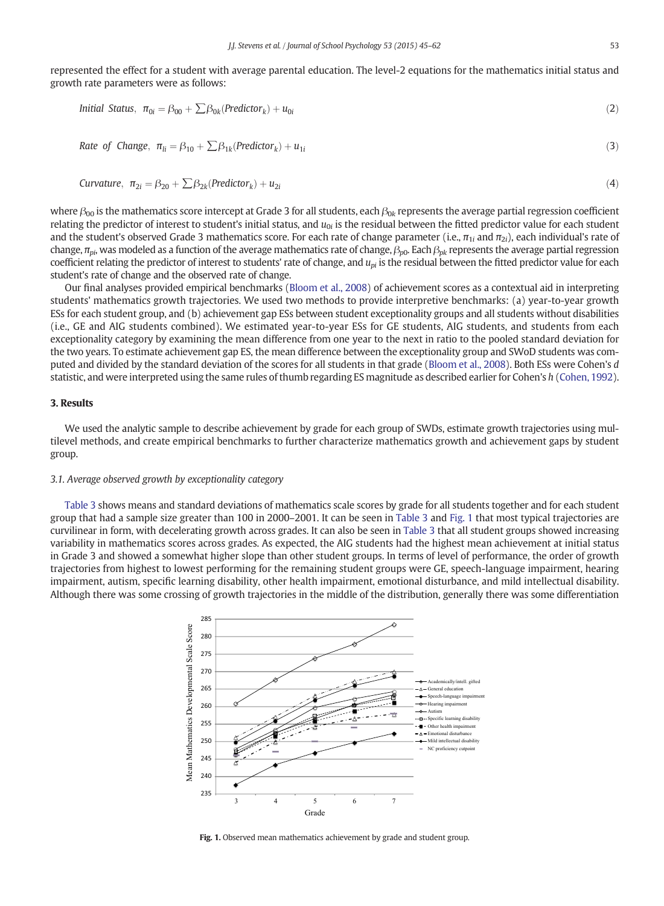<span id="page-8-0"></span>represented the effect for a student with average parental education. The level-2 equations for the mathematics initial status and growth rate parameters were as follows:

$$
Initial \text{ Status}, \ \pi_{0i} = \beta_{00} + \sum \beta_{0k} (Predictor_k) + u_{0i} \tag{2}
$$

Rate of Change;  $\pi_{li} = \beta_{10} + \sum \beta_{1k} (Predictor_k) + u_{1i}$  (3)

$$
Curvature, \ \pi_{2i} = \beta_{20} + \sum \beta_{2k} (Predictor_k) + u_{2i}
$$
\n
$$
\tag{4}
$$

where  $β_{00}$  is the mathematics score intercept at Grade 3 for all students, each  $β_{0k}$  represents the average partial regression coefficient relating the predictor of interest to student's initial status, and  $u_{0i}$  is the residual between the fitted predictor value for each student and the student's observed Grade 3 mathematics score. For each rate of change parameter (i.e.,  $\pi_{1i}$  and  $\pi_{2i}$ ), each individual's rate of change,  $\pi_{\text{p}_b}$  was modeled as a function of the average mathematics rate of change,  $\beta_{\text{po}}$ . Each  $\beta_{\text{pk}}$  represents the average partial regression coefficient relating the predictor of interest to students' rate of change, and  $u_{pi}$  is the residual between the fitted predictor value for each student's rate of change and the observed rate of change.

Our final analyses provided empirical benchmarks [\(Bloom et al., 2008\)](#page-15-0) of achievement scores as a contextual aid in interpreting students' mathematics growth trajectories. We used two methods to provide interpretive benchmarks: (a) year-to-year growth ESs for each student group, and (b) achievement gap ESs between student exceptionality groups and all students without disabilities (i.e., GE and AIG students combined). We estimated year-to-year ESs for GE students, AIG students, and students from each exceptionality category by examining the mean difference from one year to the next in ratio to the pooled standard deviation for the two years. To estimate achievement gap ES, the mean difference between the exceptionality group and SWoD students was computed and divided by the standard deviation of the scores for all students in that grade [\(Bloom et al., 2008](#page-15-0)). Both ESs were Cohen's d statistic, and were interpreted using the same rules of thumb regarding ES magnitude as described earlier for Cohen's h ([Cohen, 1992](#page-16-0)).

# 3. Results

We used the analytic sample to describe achievement by grade for each group of SWDs, estimate growth trajectories using multilevel methods, and create empirical benchmarks to further characterize mathematics growth and achievement gaps by student group.

#### 3.1. Average observed growth by exceptionality category

[Table 3](#page-6-0) shows means and standard deviations of mathematics scale scores by grade for all students together and for each student group that had a sample size greater than 100 in 2000–2001. It can be seen in [Table 3](#page-6-0) and Fig. 1 that most typical trajectories are curvilinear in form, with decelerating growth across grades. It can also be seen in [Table 3](#page-6-0) that all student groups showed increasing variability in mathematics scores across grades. As expected, the AIG students had the highest mean achievement at initial status in Grade 3 and showed a somewhat higher slope than other student groups. In terms of level of performance, the order of growth trajectories from highest to lowest performing for the remaining student groups were GE, speech-language impairment, hearing impairment, autism, specific learning disability, other health impairment, emotional disturbance, and mild intellectual disability. Although there was some crossing of growth trajectories in the middle of the distribution, generally there was some differentiation



Fig. 1. Observed mean mathematics achievement by grade and student group.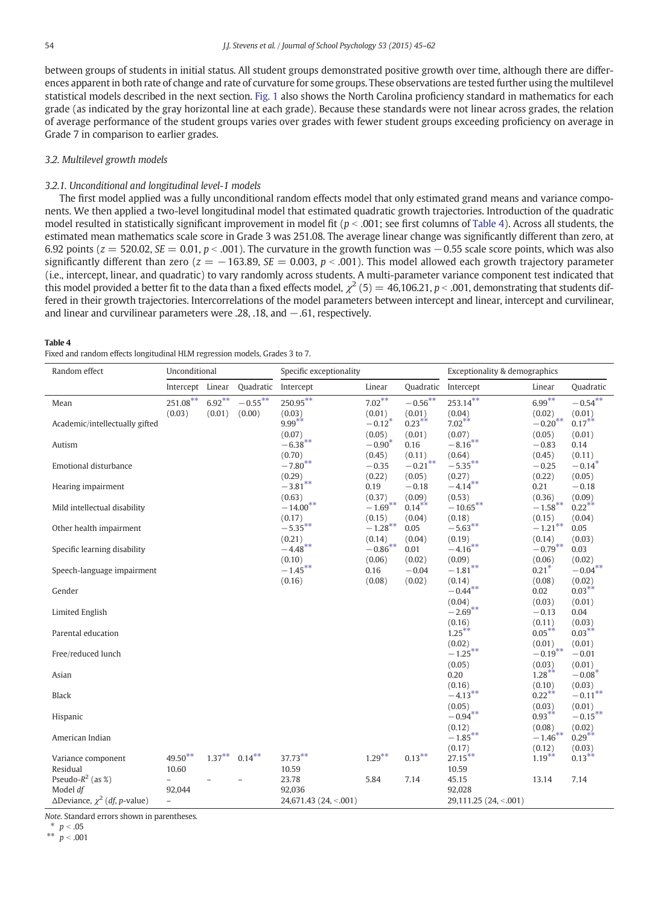<span id="page-9-0"></span>between groups of students in initial status. All student groups demonstrated positive growth over time, although there are differences apparent in both rate of change and rate of curvature for some groups. These observations are tested further using the multilevel statistical models described in the next section. [Fig. 1](#page-8-0) also shows the North Carolina proficiency standard in mathematics for each grade (as indicated by the gray horizontal line at each grade). Because these standards were not linear across grades, the relation of average performance of the student groups varies over grades with fewer student groups exceeding proficiency on average in Grade 7 in comparison to earlier grades.

# 3.2. Multilevel growth models

#### 3.2.1. Unconditional and longitudinal level-1 models

The first model applied was a fully unconditional random effects model that only estimated grand means and variance components. We then applied a two-level longitudinal model that estimated quadratic growth trajectories. Introduction of the quadratic model resulted in statistically significant improvement in model fit ( $p < .001$ ; see first columns of Table 4). Across all students, the estimated mean mathematics scale score in Grade 3 was 251.08. The average linear change was significantly different than zero, at 6.92 points ( $z = 520.02$ ,  $SE = 0.01$ ,  $p < .001$ ). The curvature in the growth function was  $-0.55$  scale score points, which was also significantly different than zero ( $z = -163.89$ ,  $SE = 0.003$ ,  $p < .001$ ). This model allowed each growth trajectory parameter (i.e., intercept, linear, and quadratic) to vary randomly across students. A multi-parameter variance component test indicated that this model provided a better fit to the data than a fixed effects model,  $\chi^2$  (5) = 46,106.21, p < .001, demonstrating that students differed in their growth trajectories. Intercorrelations of the model parameters between intercept and linear, intercept and curvilinear, and linear and curvilinear parameters were .28, .18, and −.61, respectively.

#### Table 4

| Fixed and random effects longitudinal HLM regression models, Grades 3 to 7. |  |  |  |  |  |  |
|-----------------------------------------------------------------------------|--|--|--|--|--|--|
|-----------------------------------------------------------------------------|--|--|--|--|--|--|

| Random effect                                                 | Unconditional            |                     |                      | Specific exceptionality<br>Exceptionality & demographics |                                     |                                                   |                                              |                                     |                                         |
|---------------------------------------------------------------|--------------------------|---------------------|----------------------|----------------------------------------------------------|-------------------------------------|---------------------------------------------------|----------------------------------------------|-------------------------------------|-----------------------------------------|
|                                                               | Intercept Linear         |                     | Quadratic            | Intercept                                                | Linear                              | Quadratic                                         | Intercept                                    | Linear                              | Quadratic                               |
| Mean<br>Academic/intellectually gifted                        | $251.08$ **<br>(0.03)    | $6.92$ **<br>(0.01) | $-0.55***$<br>(0.00) | $250.95***$<br>(0.03)<br>$9.99***$                       | $7.02***$<br>(0.01)<br>$-0.12*$     | $-0.56^{**}$<br>(0.01)<br>$0.23***$               | $253.14$ **<br>(0.04)<br>$7.02***$           | $6.99***$<br>(0.02)<br>$-0.20$ **   | $-0.54$ **<br>(0.01)<br>$0.17***$       |
| Autism                                                        |                          |                     |                      | (0.07)<br>$-6.38**$<br>(0.70)                            | (0.05)<br>$-0.90*$<br>(0.45)        | (0.01)<br>0.16<br>$(0.11)$<br>-0.21 <sup>**</sup> | (0.07)<br>$-8.16***$<br>(0.64)<br>$-5.35***$ | (0.05)<br>$-0.83$<br>(0.45)         | (0.01)<br>0.14<br>(0.11)                |
| Emotional disturbance<br>Hearing impairment                   |                          |                     |                      | $-7.80**$<br>(0.29)<br>$-3.81***$<br>(0.63)              | $-0.35$<br>(0.22)<br>0.19<br>(0.37) | (0.05)<br>$-0.18$<br>(0.09)                       | (0.27)<br>$-4.14***$<br>(0.53)               | $-0.25$<br>(0.22)<br>0.21<br>(0.36) | $-0.14*$<br>(0.05)<br>$-0.18$<br>(0.09) |
| Mild intellectual disability                                  |                          |                     |                      | $-14.00**$                                               | $-1.69***$                          | $0.14***$                                         | $-10.65***$                                  | $-1.58$ **                          | $0.22***$                               |
| Other health impairment                                       |                          |                     |                      | (0.17)<br>$-5.35***$<br>(0.21)                           | (0.15)<br>$-1.28$ **<br>(0.14)      | (0.04)<br>0.05<br>(0.04)                          | (0.18)<br>$-5.63***$<br>(0.19)               | (0.15)<br>$-1.21$ **<br>(0.14)      | (0.04)<br>0.05<br>(0.03)                |
| Specific learning disability                                  |                          |                     |                      | $-4.48$ **<br>(0.10)                                     | $-0.86***$<br>(0.06)                | 0.01<br>(0.02)                                    | $-4.16***$<br>(0.09)                         | $-0.79***$<br>(0.06)                | 0.03<br>(0.02)                          |
| Speech-language impairment                                    |                          |                     |                      | $-1.45***$<br>(0.16)                                     | 0.16<br>(0.08)                      | $-0.04$<br>(0.02)                                 | $-1.81***$<br>(0.14)                         | $0.21$ <sup>*</sup><br>(0.08)       | $-0.04***$<br>(0.02)                    |
| Gender                                                        |                          |                     |                      |                                                          |                                     |                                                   | $-0.44***$<br>(0.04)                         | 0.02<br>(0.03)                      | $0.03***$                               |
| Limited English                                               |                          |                     |                      |                                                          |                                     |                                                   | $-2.69$ **                                   | $-0.13$                             | (0.01)<br>0.04                          |
| Parental education                                            |                          |                     |                      |                                                          |                                     |                                                   | (0.16)<br>$1.25***$<br>(0.02)                | (0.11)<br>$0.05***$<br>(0.01)       | (0.03)<br>$0.03***$<br>(0.01)           |
| Free/reduced lunch                                            |                          |                     |                      |                                                          |                                     |                                                   | $-1.25***$<br>(0.05)                         | $-0.19***$<br>(0.03)                | $-0.01$<br>(0.01)                       |
| Asian                                                         |                          |                     |                      |                                                          |                                     |                                                   | 0.20<br>(0.16)                               | $1.28**$                            | $-0.08*$                                |
| Black                                                         |                          |                     |                      |                                                          |                                     |                                                   | $-4.13***$                                   | (0.10)<br>$0.22***$                 | (0.03)<br>$-0.11***$                    |
| Hispanic                                                      |                          |                     |                      |                                                          |                                     |                                                   | (0.05)<br>$-0.94***$<br>(0.12)               | (0.03)<br>$0.93**$<br>(0.08)        | (0.01)<br>$-0.15***$<br>(0.02)          |
| American Indian                                               |                          |                     |                      |                                                          |                                     |                                                   | $-1.85***$                                   | $-1.46$ **                          | $0.29***$                               |
| Variance component<br>Residual                                | $49.50***$<br>10.60      | $1.37***$           | $0.14***$            | $37.73***$<br>10.59                                      | $1.29***$                           | $0.13***$                                         | (0.17)<br>$27.15***$<br>10.59                | (0.12)<br>$1.19**$                  | (0.03)<br>$0.13***$                     |
| Pseudo- $R^2$ (as %)<br>Model df                              | $\overline{a}$<br>92,044 |                     |                      | 23.78<br>92,036                                          | 5.84                                | 7.14                                              | 45.15<br>92,028                              | 13.14                               | 7.14                                    |
| $\triangle$ Deviance, $\chi^2$ ( <i>df</i> , <i>p</i> -value) | $\overline{a}$           |                     |                      | 24,671.43 (24, <.001)                                    |                                     |                                                   | 29,111.25 (24, <.001)                        |                                     |                                         |

Note. Standard errors shown in parentheses.

 $^*$  p < .05

\*\*  $p < .001$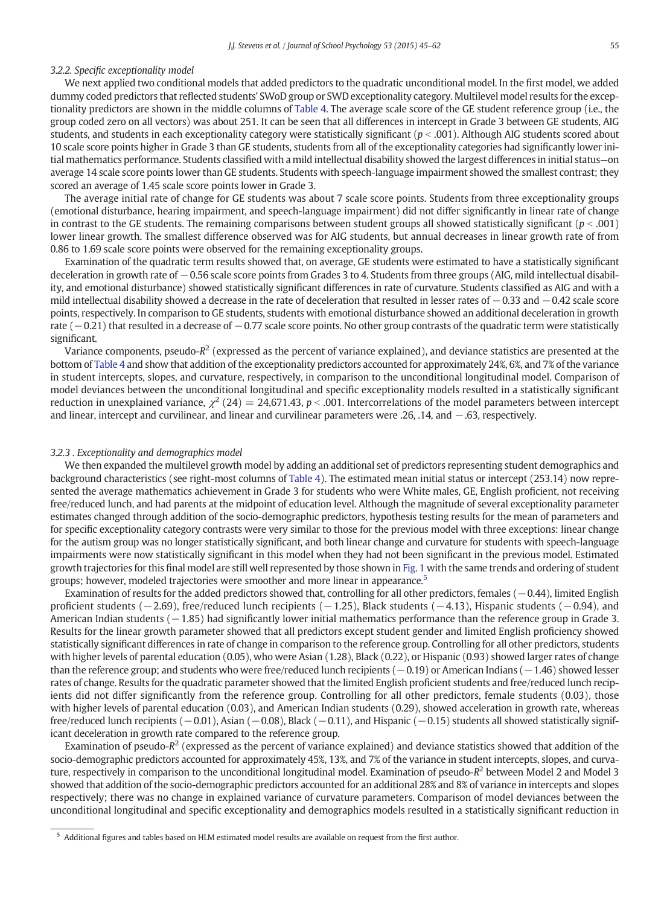#### 3.2.2. Specific exceptionality model

We next applied two conditional models that added predictors to the quadratic unconditional model. In the first model, we added dummy coded predictors that reflected students' SWoD group or SWD exceptionality category. Multilevel model results for the exceptionality predictors are shown in the middle columns of [Table 4](#page-9-0). The average scale score of the GE student reference group (i.e., the group coded zero on all vectors) was about 251. It can be seen that all differences in intercept in Grade 3 between GE students, AIG students, and students in each exceptionality category were statistically significant ( $p < .001$ ). Although AIG students scored about 10 scale score points higher in Grade 3 than GE students, students from all of the exceptionality categories had significantly lower initial mathematics performance. Students classified with a mild intellectual disability showed the largest differences in initial status—on average 14 scale score points lower than GE students. Students with speech-language impairment showed the smallest contrast; they scored an average of 1.45 scale score points lower in Grade 3.

The average initial rate of change for GE students was about 7 scale score points. Students from three exceptionality groups (emotional disturbance, hearing impairment, and speech-language impairment) did not differ significantly in linear rate of change in contrast to the GE students. The remaining comparisons between student groups all showed statistically significant ( $p < .001$ ) lower linear growth. The smallest difference observed was for AIG students, but annual decreases in linear growth rate of from 0.86 to 1.69 scale score points were observed for the remaining exceptionality groups.

Examination of the quadratic term results showed that, on average, GE students were estimated to have a statistically significant deceleration in growth rate of −0.56 scale score points from Grades 3 to 4. Students from three groups (AIG, mild intellectual disability, and emotional disturbance) showed statistically significant differences in rate of curvature. Students classified as AIG and with a mild intellectual disability showed a decrease in the rate of deceleration that resulted in lesser rates of −0.33 and −0.42 scale score points, respectively. In comparison to GE students, students with emotional disturbance showed an additional deceleration in growth rate  $(-0.21)$  that resulted in a decrease of  $-0.77$  scale score points. No other group contrasts of the quadratic term were statistically significant.

Variance components, pseudo- $R^2$  (expressed as the percent of variance explained), and deviance statistics are presented at the bottom of [Table 4](#page-9-0) and show that addition of the exceptionality predictors accounted for approximately 24%, 6%, and 7% of the variance in student intercepts, slopes, and curvature, respectively, in comparison to the unconditional longitudinal model. Comparison of model deviances between the unconditional longitudinal and specific exceptionality models resulted in a statistically significant reduction in unexplained variance,  $\chi^2$  (24) = 24,671.43, p < .001. Intercorrelations of the model parameters between intercept and linear, intercept and curvilinear, and linear and curvilinear parameters were .26, .14, and −.63, respectively.

#### 3.2.3 . Exceptionality and demographics model

We then expanded the multilevel growth model by adding an additional set of predictors representing student demographics and background characteristics (see right-most columns of [Table 4\)](#page-9-0). The estimated mean initial status or intercept (253.14) now represented the average mathematics achievement in Grade 3 for students who were White males, GE, English proficient, not receiving free/reduced lunch, and had parents at the midpoint of education level. Although the magnitude of several exceptionality parameter estimates changed through addition of the socio-demographic predictors, hypothesis testing results for the mean of parameters and for specific exceptionality category contrasts were very similar to those for the previous model with three exceptions: linear change for the autism group was no longer statistically significant, and both linear change and curvature for students with speech-language impairments were now statistically significant in this model when they had not been significant in the previous model. Estimated growth trajectories for this final model are still well represented by those shown in [Fig. 1](#page-8-0) with the same trends and ordering of student groups; however, modeled trajectories were smoother and more linear in appearance.<sup>5</sup>

Examination of results for the added predictors showed that, controlling for all other predictors, females (−0.44), limited English proficient students (−2.69), free/reduced lunch recipients (−1.25), Black students (−4.13), Hispanic students (−0.94), and American Indian students  $(-1.85)$  had significantly lower initial mathematics performance than the reference group in Grade 3. Results for the linear growth parameter showed that all predictors except student gender and limited English proficiency showed statistically significant differences in rate of change in comparison to the reference group. Controlling for all other predictors, students with higher levels of parental education (0.05), who were Asian (1.28), Black (0.22), or Hispanic (0.93) showed larger rates of change than the reference group; and students who were free/reduced lunch recipients  $(-0.19)$  or American Indians  $(-1.46)$  showed lesser rates of change. Results for the quadratic parameter showed that the limited English proficient students and free/reduced lunch recipients did not differ significantly from the reference group. Controlling for all other predictors, female students (0.03), those with higher levels of parental education (0.03), and American Indian students (0.29), showed acceleration in growth rate, whereas free/reduced lunch recipients (−0.01), Asian (−0.08), Black (−0.11), and Hispanic (−0.15) students all showed statistically significant deceleration in growth rate compared to the reference group.

Examination of pseudo- $R^2$  (expressed as the percent of variance explained) and deviance statistics showed that addition of the socio-demographic predictors accounted for approximately 45%, 13%, and 7% of the variance in student intercepts, slopes, and curvature, respectively in comparison to the unconditional longitudinal model. Examination of pseudo- $R<sup>2</sup>$  between Model 2 and Model 3 showed that addition of the socio-demographic predictors accounted for an additional 28% and 8% of variance in intercepts and slopes respectively; there was no change in explained variance of curvature parameters. Comparison of model deviances between the unconditional longitudinal and specific exceptionality and demographics models resulted in a statistically significant reduction in

<sup>5</sup> Additional figures and tables based on HLM estimated model results are available on request from the first author.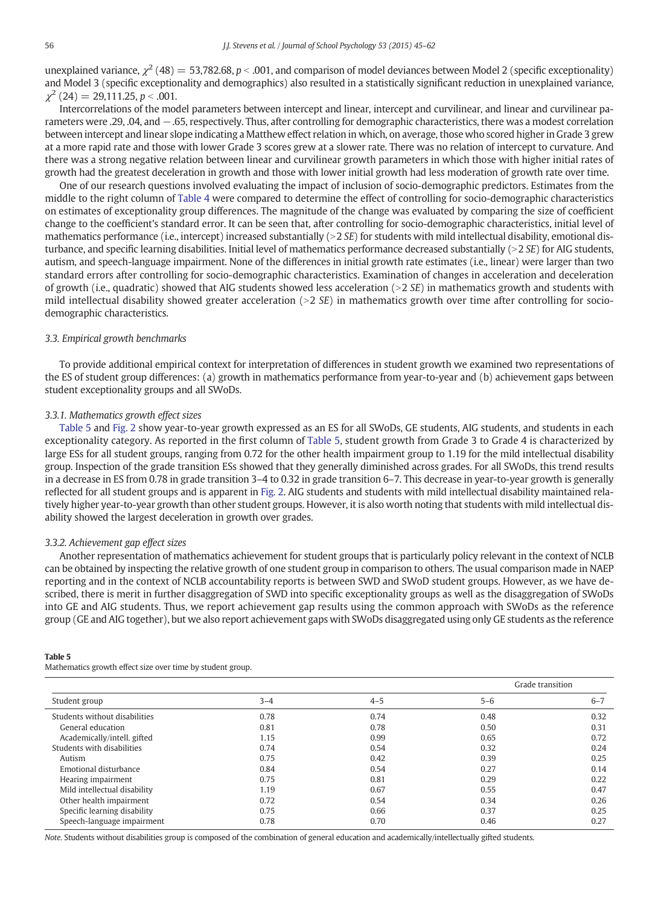unexplained variance,  $\chi^2$  (48) = 53,782.68, p < .001, and comparison of model deviances between Model 2 (specific exceptionality) and Model 3 (specific exceptionality and demographics) also resulted in a statistically significant reduction in unexplained variance,  $\chi^2$  (24) = 29,111.25, p < .001.

Intercorrelations of the model parameters between intercept and linear, intercept and curvilinear, and linear and curvilinear parameters were .29, .04, and −.65, respectively. Thus, after controlling for demographic characteristics, there was a modest correlation between intercept and linear slope indicating a Matthew effect relation in which, on average, those who scored higher in Grade 3 grew at a more rapid rate and those with lower Grade 3 scores grew at a slower rate. There was no relation of intercept to curvature. And there was a strong negative relation between linear and curvilinear growth parameters in which those with higher initial rates of growth had the greatest deceleration in growth and those with lower initial growth had less moderation of growth rate over time.

One of our research questions involved evaluating the impact of inclusion of socio-demographic predictors. Estimates from the middle to the right column of [Table 4](#page-9-0) were compared to determine the effect of controlling for socio-demographic characteristics on estimates of exceptionality group differences. The magnitude of the change was evaluated by comparing the size of coefficient change to the coefficient's standard error. It can be seen that, after controlling for socio-demographic characteristics, initial level of mathematics performance (i.e., intercept) increased substantially  $(>2 S E)$  for students with mild intellectual disability, emotional disturbance, and specific learning disabilities. Initial level of mathematics performance decreased substantially  $(>2 S E)$  for AIG students, autism, and speech-language impairment. None of the differences in initial growth rate estimates (i.e., linear) were larger than two standard errors after controlling for socio-demographic characteristics. Examination of changes in acceleration and deceleration of growth (i.e., quadratic) showed that AIG students showed less acceleration ( $>$ 2 SE) in mathematics growth and students with mild intellectual disability showed greater acceleration  $(>2 \text{ } SE)$  in mathematics growth over time after controlling for sociodemographic characteristics.

#### 3.3. Empirical growth benchmarks

To provide additional empirical context for interpretation of differences in student growth we examined two representations of the ES of student group differences: (a) growth in mathematics performance from year-to-year and (b) achievement gaps between student exceptionality groups and all SWoDs.

#### 3.3.1. Mathematics growth effect sizes

Table 5 and [Fig. 2](#page-12-0) show year-to-year growth expressed as an ES for all SWoDs, GE students, AIG students, and students in each exceptionality category. As reported in the first column of Table 5, student growth from Grade 3 to Grade 4 is characterized by large ESs for all student groups, ranging from 0.72 for the other health impairment group to 1.19 for the mild intellectual disability group. Inspection of the grade transition ESs showed that they generally diminished across grades. For all SWoDs, this trend results in a decrease in ES from 0.78 in grade transition 3–4 to 0.32 in grade transition 6–7. This decrease in year-to-year growth is generally reflected for all student groups and is apparent in [Fig. 2](#page-12-0). AIG students and students with mild intellectual disability maintained relatively higher year-to-year growth than other student groups. However, it is also worth noting that students with mild intellectual disability showed the largest deceleration in growth over grades.

#### 3.3.2. Achievement gap effect sizes

Another representation of mathematics achievement for student groups that is particularly policy relevant in the context of NCLB can be obtained by inspecting the relative growth of one student group in comparison to others. The usual comparison made in NAEP reporting and in the context of NCLB accountability reports is between SWD and SWoD student groups. However, as we have described, there is merit in further disaggregation of SWD into specific exceptionality groups as well as the disaggregation of SWoDs into GE and AIG students. Thus, we report achievement gap results using the common approach with SWoDs as the reference group (GE and AIG together), but we also report achievement gaps with SWoDs disaggregated using only GE students as the reference

#### Table 5

Grade transition Student group 3–4 4–5 5–6 6–7 Students without disabilities  $0.78$  0.78 0.74 0.48 0.32 General education 0.81 0.78 0.50 0.31 Academically/intell. gifted 1.15 0.99 0.65 0.72 Students with disabilities 0.74 0.54 0.32 0.24 Autism 0.75 0.42 0.39 0.25 Emotional disturbance  $0.84$  0.54 0.27 0.14 0.27 0.14 Hearing impairment 1.1 0.25 0.75 0.81 0.29 0.229 0.229 0.22 Mild intellectual disability  $1.19$  0.67 0.55 0.47 0.55 0.47 Other health impairment 0.72 0.54 0.26 0.34 0.26 Specific learning disability 0.75 0.66 0.37 0.25 Speech-language impairment 0.78 0.70 0.46 0.27

Mathematics growth effect size over time by student group.

Note. Students without disabilities group is composed of the combination of general education and academically/intellectually gifted students.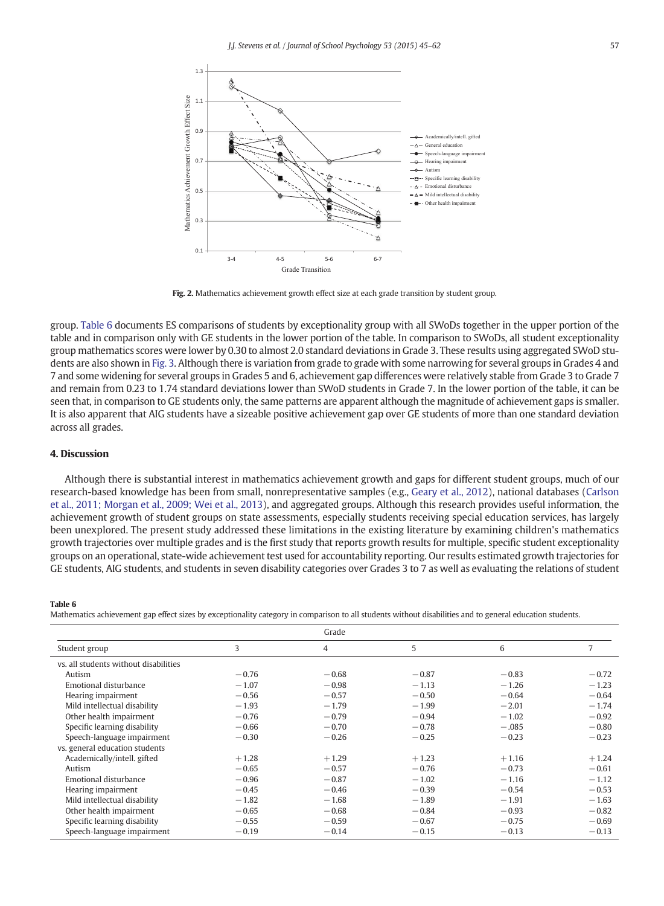<span id="page-12-0"></span>

Fig. 2. Mathematics achievement growth effect size at each grade transition by student group.

group. Table 6 documents ES comparisons of students by exceptionality group with all SWoDs together in the upper portion of the table and in comparison only with GE students in the lower portion of the table. In comparison to SWoDs, all student exceptionality group mathematics scores were lower by 0.30 to almost 2.0 standard deviations in Grade 3. These results using aggregated SWoD students are also shown in [Fig. 3.](#page-13-0) Although there is variation from grade to grade with some narrowing for several groups in Grades 4 and 7 and some widening for several groups in Grades 5 and 6, achievement gap differences were relatively stable from Grade 3 to Grade 7 and remain from 0.23 to 1.74 standard deviations lower than SWoD students in Grade 7. In the lower portion of the table, it can be seen that, in comparison to GE students only, the same patterns are apparent although the magnitude of achievement gaps is smaller. It is also apparent that AIG students have a sizeable positive achievement gap over GE students of more than one standard deviation across all grades.

# 4. Discussion

Although there is substantial interest in mathematics achievement growth and gaps for different student groups, much of our research-based knowledge has been from small, nonrepresentative samples (e.g., [Geary et al., 2012](#page-16-0)), national databases ([Carlson](#page-16-0) [et al., 2011; Morgan et al., 2009; Wei et al., 2013](#page-16-0)), and aggregated groups. Although this research provides useful information, the achievement growth of student groups on state assessments, especially students receiving special education services, has largely been unexplored. The present study addressed these limitations in the existing literature by examining children's mathematics growth trajectories over multiple grades and is the first study that reports growth results for multiple, specific student exceptionality groups on an operational, state-wide achievement test used for accountability reporting. Our results estimated growth trajectories for GE students, AIG students, and students in seven disability categories over Grades 3 to 7 as well as evaluating the relations of student

#### Table 6

Mathematics achievement gap effect sizes by exceptionality category in comparison to all students without disabilities and to general education students.

|                                       |         | Grade   |         |         |         |
|---------------------------------------|---------|---------|---------|---------|---------|
| Student group                         | 3       | 4       | 5       | 6       | 7       |
| ys. all students without disabilities |         |         |         |         |         |
| Autism                                | $-0.76$ | $-0.68$ | $-0.87$ | $-0.83$ | $-0.72$ |
| Emotional disturbance                 | $-1.07$ | $-0.98$ | $-1.13$ | $-1.26$ | $-1.23$ |
| Hearing impairment                    | $-0.56$ | $-0.57$ | $-0.50$ | $-0.64$ | $-0.64$ |
| Mild intellectual disability          | $-1.93$ | $-1.79$ | $-1.99$ | $-2.01$ | $-1.74$ |
| Other health impairment               | $-0.76$ | $-0.79$ | $-0.94$ | $-1.02$ | $-0.92$ |
| Specific learning disability          | $-0.66$ | $-0.70$ | $-0.78$ | $-.085$ | $-0.80$ |
| Speech-language impairment            | $-0.30$ | $-0.26$ | $-0.25$ | $-0.23$ | $-0.23$ |
| vs. general education students        |         |         |         |         |         |
| Academically/intell, gifted           | $+1.28$ | $+1.29$ | $+1.23$ | $+1.16$ | $+1.24$ |
| Autism                                | $-0.65$ | $-0.57$ | $-0.76$ | $-0.73$ | $-0.61$ |
| Emotional disturbance                 | $-0.96$ | $-0.87$ | $-1.02$ | $-1.16$ | $-1.12$ |
| Hearing impairment                    | $-0.45$ | $-0.46$ | $-0.39$ | $-0.54$ | $-0.53$ |
| Mild intellectual disability          | $-1.82$ | $-1.68$ | $-1.89$ | $-1.91$ | $-1.63$ |
| Other health impairment               | $-0.65$ | $-0.68$ | $-0.84$ | $-0.93$ | $-0.82$ |
| Specific learning disability          | $-0.55$ | $-0.59$ | $-0.67$ | $-0.75$ | $-0.69$ |
| Speech-language impairment            | $-0.19$ | $-0.14$ | $-0.15$ | $-0.13$ | $-0.13$ |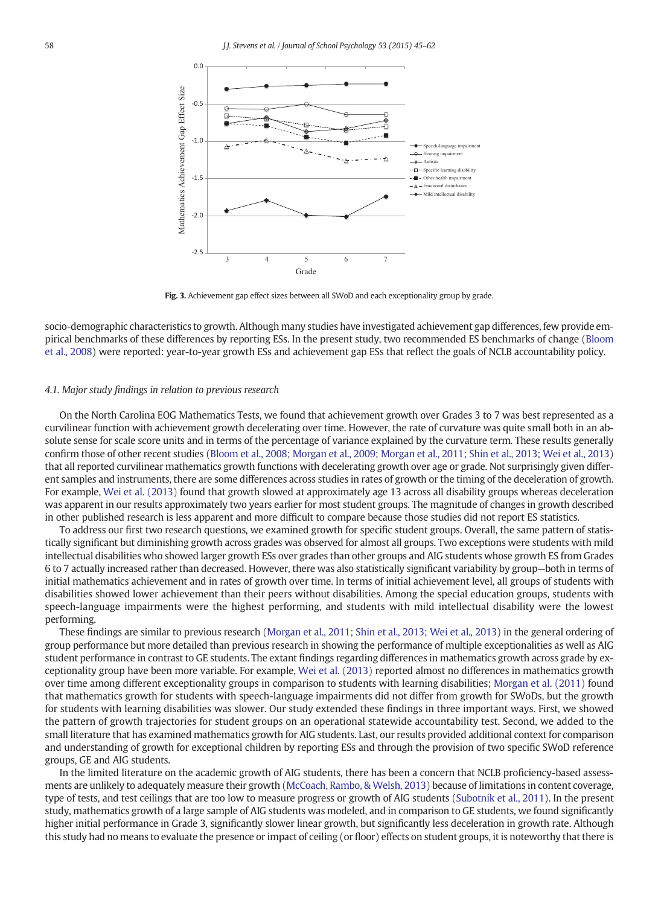<span id="page-13-0"></span>

Fig. 3. Achievement gap effect sizes between all SWoD and each exceptionality group by grade.

socio-demographic characteristics to growth. Although many studies have investigated achievement gap differences, few provide empirical benchmarks of these differences by reporting ESs. In the present study, two recommended ES benchmarks of change [\(Bloom](#page-15-0) [et al., 2008](#page-15-0)) were reported: year-to-year growth ESs and achievement gap ESs that reflect the goals of NCLB accountability policy.

### 4.1. Major study findings in relation to previous research

On the North Carolina EOG Mathematics Tests, we found that achievement growth over Grades 3 to 7 was best represented as a curvilinear function with achievement growth decelerating over time. However, the rate of curvature was quite small both in an absolute sense for scale score units and in terms of the percentage of variance explained by the curvature term. These results generally confirm those of other recent studies [\(Bloom et al., 2008; Morgan et al., 2009; Morgan et al., 2011; Shin et al., 2013; Wei et al., 2013\)](#page-15-0) that all reported curvilinear mathematics growth functions with decelerating growth over age or grade. Not surprisingly given different samples and instruments, there are some differences across studies in rates of growth or the timing of the deceleration of growth. For example, [Wei et al. \(2013\)](#page-17-0) found that growth slowed at approximately age 13 across all disability groups whereas deceleration was apparent in our results approximately two years earlier for most student groups. The magnitude of changes in growth described in other published research is less apparent and more difficult to compare because those studies did not report ES statistics.

To address our first two research questions, we examined growth for specific student groups. Overall, the same pattern of statistically significant but diminishing growth across grades was observed for almost all groups. Two exceptions were students with mild intellectual disabilities who showed larger growth ESs over grades than other groups and AIG students whose growth ES from Grades 6 to 7 actually increased rather than decreased. However, there was also statistically significant variability by group—both in terms of initial mathematics achievement and in rates of growth over time. In terms of initial achievement level, all groups of students with disabilities showed lower achievement than their peers without disabilities. Among the special education groups, students with speech-language impairments were the highest performing, and students with mild intellectual disability were the lowest performing.

These findings are similar to previous research ([Morgan et al., 2011; Shin et al., 2013; Wei et al., 2013](#page-16-0)) in the general ordering of group performance but more detailed than previous research in showing the performance of multiple exceptionalities as well as AIG student performance in contrast to GE students. The extant findings regarding differences in mathematics growth across grade by exceptionality group have been more variable. For example, [Wei et al. \(2013\)](#page-17-0) reported almost no differences in mathematics growth over time among different exceptionality groups in comparison to students with learning disabilities; [Morgan et al. \(2011\)](#page-16-0) found that mathematics growth for students with speech-language impairments did not differ from growth for SWoDs, but the growth for students with learning disabilities was slower. Our study extended these findings in three important ways. First, we showed the pattern of growth trajectories for student groups on an operational statewide accountability test. Second, we added to the small literature that has examined mathematics growth for AIG students. Last, our results provided additional context for comparison and understanding of growth for exceptional children by reporting ESs and through the provision of two specific SWoD reference groups, GE and AIG students.

In the limited literature on the academic growth of AIG students, there has been a concern that NCLB proficiency-based assessments are unlikely to adequately measure their growth ([McCoach, Rambo, & Welsh, 2013](#page-16-0)) because of limitations in content coverage, type of tests, and test ceilings that are too low to measure progress or growth of AIG students [\(Subotnik et al., 2011](#page-17-0)). In the present study, mathematics growth of a large sample of AIG students was modeled, and in comparison to GE students, we found significantly higher initial performance in Grade 3, significantly slower linear growth, but significantly less deceleration in growth rate. Although this study had no means to evaluate the presence or impact of ceiling (or floor) effects on student groups, it is noteworthy that there is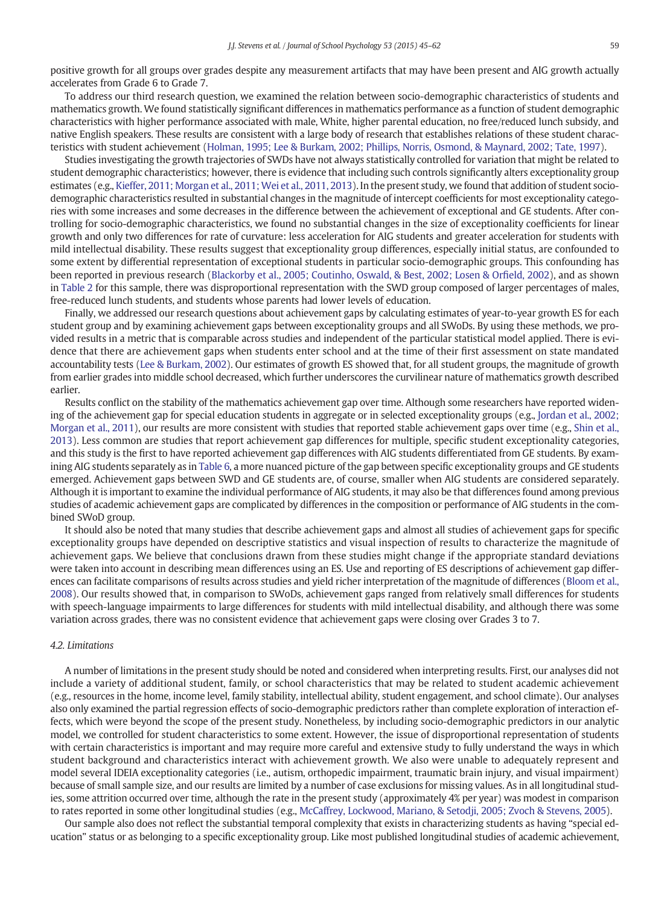positive growth for all groups over grades despite any measurement artifacts that may have been present and AIG growth actually accelerates from Grade 6 to Grade 7.

To address our third research question, we examined the relation between socio-demographic characteristics of students and mathematics growth. We found statistically significant differences in mathematics performance as a function of student demographic characteristics with higher performance associated with male, White, higher parental education, no free/reduced lunch subsidy, and native English speakers. These results are consistent with a large body of research that establishes relations of these student characteristics with student achievement ([Holman, 1995; Lee & Burkam, 2002; Phillips, Norris, Osmond, & Maynard, 2002; Tate, 1997](#page-16-0)).

Studies investigating the growth trajectories of SWDs have not always statistically controlled for variation that might be related to student demographic characteristics; however, there is evidence that including such controls significantly alters exceptionality group estimates (e.g., Kieffer, 2011; Morgan et al., 2011; Wei et al., 2011, 2013). In the present study, we found that addition of student sociodemographic characteristics resulted in substantial changes in the magnitude of intercept coefficients for most exceptionality categories with some increases and some decreases in the difference between the achievement of exceptional and GE students. After controlling for socio-demographic characteristics, we found no substantial changes in the size of exceptionality coefficients for linear growth and only two differences for rate of curvature: less acceleration for AIG students and greater acceleration for students with mild intellectual disability. These results suggest that exceptionality group differences, especially initial status, are confounded to some extent by differential representation of exceptional students in particular socio-demographic groups. This confounding has been reported in previous research [\(Blackorby et al., 2005; Coutinho, Oswald, & Best, 2002; Losen & Or](#page-15-0)field, 2002), and as shown in [Table 2](#page-5-0) for this sample, there was disproportional representation with the SWD group composed of larger percentages of males, free-reduced lunch students, and students whose parents had lower levels of education.

Finally, we addressed our research questions about achievement gaps by calculating estimates of year-to-year growth ES for each student group and by examining achievement gaps between exceptionality groups and all SWoDs. By using these methods, we provided results in a metric that is comparable across studies and independent of the particular statistical model applied. There is evidence that there are achievement gaps when students enter school and at the time of their first assessment on state mandated accountability tests [\(Lee & Burkam, 2002\)](#page-16-0). Our estimates of growth ES showed that, for all student groups, the magnitude of growth from earlier grades into middle school decreased, which further underscores the curvilinear nature of mathematics growth described earlier.

Results conflict on the stability of the mathematics achievement gap over time. Although some researchers have reported widening of the achievement gap for special education students in aggregate or in selected exceptionality groups (e.g., [Jordan et al., 2002;](#page-16-0) [Morgan et al., 2011\)](#page-16-0), our results are more consistent with studies that reported stable achievement gaps over time (e.g., [Shin et al.,](#page-17-0) [2013](#page-17-0)). Less common are studies that report achievement gap differences for multiple, specific student exceptionality categories, and this study is the first to have reported achievement gap differences with AIG students differentiated from GE students. By examining AIG students separately as in [Table 6](#page-12-0), a more nuanced picture of the gap between specific exceptionality groups and GE students emerged. Achievement gaps between SWD and GE students are, of course, smaller when AIG students are considered separately. Although it is important to examine the individual performance of AIG students, it may also be that differences found among previous studies of academic achievement gaps are complicated by differences in the composition or performance of AIG students in the combined SWoD group.

It should also be noted that many studies that describe achievement gaps and almost all studies of achievement gaps for specific exceptionality groups have depended on descriptive statistics and visual inspection of results to characterize the magnitude of achievement gaps. We believe that conclusions drawn from these studies might change if the appropriate standard deviations were taken into account in describing mean differences using an ES. Use and reporting of ES descriptions of achievement gap differences can facilitate comparisons of results across studies and yield richer interpretation of the magnitude of differences [\(Bloom et al.,](#page-15-0) [2008](#page-15-0)). Our results showed that, in comparison to SWoDs, achievement gaps ranged from relatively small differences for students with speech-language impairments to large differences for students with mild intellectual disability, and although there was some variation across grades, there was no consistent evidence that achievement gaps were closing over Grades 3 to 7.

#### 4.2. Limitations

A number of limitations in the present study should be noted and considered when interpreting results. First, our analyses did not include a variety of additional student, family, or school characteristics that may be related to student academic achievement (e.g., resources in the home, income level, family stability, intellectual ability, student engagement, and school climate). Our analyses also only examined the partial regression effects of socio-demographic predictors rather than complete exploration of interaction effects, which were beyond the scope of the present study. Nonetheless, by including socio-demographic predictors in our analytic model, we controlled for student characteristics to some extent. However, the issue of disproportional representation of students with certain characteristics is important and may require more careful and extensive study to fully understand the ways in which student background and characteristics interact with achievement growth. We also were unable to adequately represent and model several IDEIA exceptionality categories (i.e., autism, orthopedic impairment, traumatic brain injury, and visual impairment) because of small sample size, and our results are limited by a number of case exclusions for missing values. As in all longitudinal studies, some attrition occurred over time, although the rate in the present study (approximately 4% per year) was modest in comparison to rates reported in some other longitudinal studies (e.g., [McCaffrey, Lockwood, Mariano, & Setodji, 2005; Zvoch & Stevens, 2005\)](#page-16-0).

Our sample also does not reflect the substantial temporal complexity that exists in characterizing students as having "special education" status or as belonging to a specific exceptionality group. Like most published longitudinal studies of academic achievement,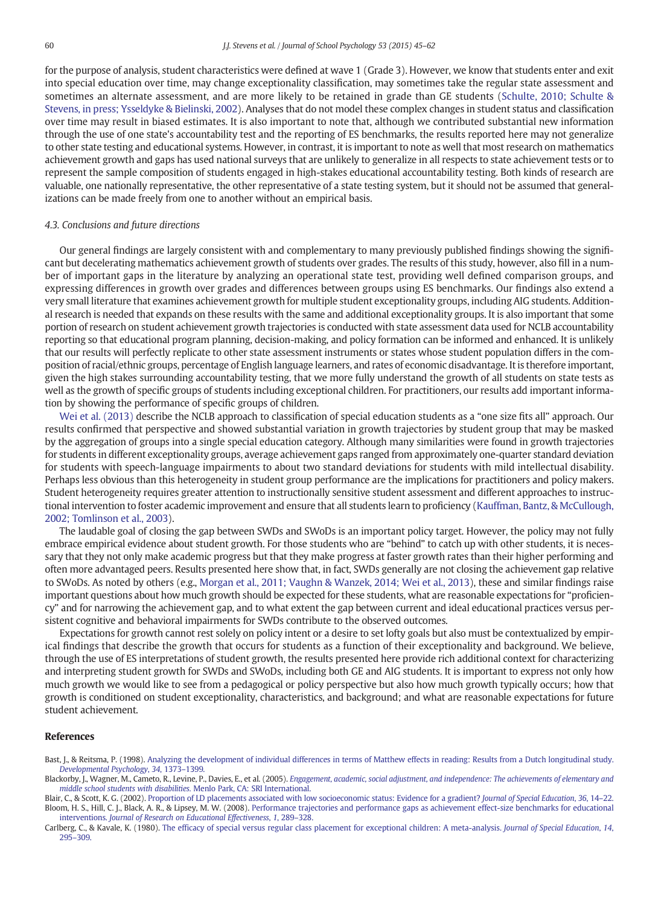<span id="page-15-0"></span>for the purpose of analysis, student characteristics were defined at wave 1 (Grade 3). However, we know that students enter and exit into special education over time, may change exceptionality classification, may sometimes take the regular state assessment and sometimes an alternate assessment, and are more likely to be retained in grade than GE students [\(Schulte, 2010; Schulte &](#page-17-0) [Stevens, in press; Ysseldyke & Bielinski, 2002\)](#page-17-0). Analyses that do not model these complex changes in student status and classification over time may result in biased estimates. It is also important to note that, although we contributed substantial new information through the use of one state's accountability test and the reporting of ES benchmarks, the results reported here may not generalize to other state testing and educational systems. However, in contrast, it is important to note as well that most research on mathematics achievement growth and gaps has used national surveys that are unlikely to generalize in all respects to state achievement tests or to represent the sample composition of students engaged in high-stakes educational accountability testing. Both kinds of research are valuable, one nationally representative, the other representative of a state testing system, but it should not be assumed that generalizations can be made freely from one to another without an empirical basis.

#### 4.3. Conclusions and future directions

Our general findings are largely consistent with and complementary to many previously published findings showing the significant but decelerating mathematics achievement growth of students over grades. The results of this study, however, also fill in a number of important gaps in the literature by analyzing an operational state test, providing well defined comparison groups, and expressing differences in growth over grades and differences between groups using ES benchmarks. Our findings also extend a very small literature that examines achievement growth for multiple student exceptionality groups, including AIG students. Additional research is needed that expands on these results with the same and additional exceptionality groups. It is also important that some portion of research on student achievement growth trajectories is conducted with state assessment data used for NCLB accountability reporting so that educational program planning, decision-making, and policy formation can be informed and enhanced. It is unlikely that our results will perfectly replicate to other state assessment instruments or states whose student population differs in the composition of racial/ethnic groups, percentage of English language learners, and rates of economic disadvantage. It is therefore important, given the high stakes surrounding accountability testing, that we more fully understand the growth of all students on state tests as well as the growth of specific groups of students including exceptional children. For practitioners, our results add important information by showing the performance of specific groups of children.

[Wei et al. \(2013\)](#page-17-0) describe the NCLB approach to classification of special education students as a "one size fits all" approach. Our results confirmed that perspective and showed substantial variation in growth trajectories by student group that may be masked by the aggregation of groups into a single special education category. Although many similarities were found in growth trajectories for students in different exceptionality groups, average achievement gaps ranged from approximately one-quarter standard deviation for students with speech-language impairments to about two standard deviations for students with mild intellectual disability. Perhaps less obvious than this heterogeneity in student group performance are the implications for practitioners and policy makers. Student heterogeneity requires greater attention to instructionally sensitive student assessment and different approaches to instructional intervention to foster academic improvement and ensure that all students learn to proficiency [\(Kauffman, Bantz, & McCullough,](#page-16-0) [2002; Tomlinson et al., 2003\)](#page-16-0).

The laudable goal of closing the gap between SWDs and SWoDs is an important policy target. However, the policy may not fully embrace empirical evidence about student growth. For those students who are "behind" to catch up with other students, it is necessary that they not only make academic progress but that they make progress at faster growth rates than their higher performing and often more advantaged peers. Results presented here show that, in fact, SWDs generally are not closing the achievement gap relative to SWoDs. As noted by others (e.g., [Morgan et al., 2011; Vaughn & Wanzek, 2014; Wei et al., 2013\)](#page-16-0), these and similar findings raise important questions about how much growth should be expected for these students, what are reasonable expectations for "proficiency" and for narrowing the achievement gap, and to what extent the gap between current and ideal educational practices versus persistent cognitive and behavioral impairments for SWDs contribute to the observed outcomes.

Expectations for growth cannot rest solely on policy intent or a desire to set lofty goals but also must be contextualized by empirical findings that describe the growth that occurs for students as a function of their exceptionality and background. We believe, through the use of ES interpretations of student growth, the results presented here provide rich additional context for characterizing and interpreting student growth for SWDs and SWoDs, including both GE and AIG students. It is important to express not only how much growth we would like to see from a pedagogical or policy perspective but also how much growth typically occurs; how that growth is conditioned on student exceptionality, characteristics, and background; and what are reasonable expectations for future student achievement.

#### References

Bast, J., & Reitsma, P. (1998). [Analyzing the development of individual differences in terms of Matthew effects in reading: Results from a Dutch longitudinal study.](http://refhub.elsevier.com/S0022-4405(14)00084-3/rf0005) [Developmental Psychology](http://refhub.elsevier.com/S0022-4405(14)00084-3/rf0005), 34, 1373–1399.

Blackorby, J., Wagner, M., Cameto, R., Levine, P., Davies, E., et al. (2005). [Engagement, academic, social adjustment, and independence: The achievements of elementary and](http://refhub.elsevier.com/S0022-4405(14)00084-3/rf0010) [middle school students with disabilities.](http://refhub.elsevier.com/S0022-4405(14)00084-3/rf0010) Menlo Park, CA: SRI International.

Blair, C., & Scott, K. G. (2002). [Proportion of LD placements associated with low socioeconomic status: Evidence for a gradient?](http://refhub.elsevier.com/S0022-4405(14)00084-3/rf0015) Journal of Special Education, 36, 14-22. Bloom, H. S., Hill, C. J., Black, A. R., & Lipsey, M. W. (2008). [Performance trajectories and performance gaps as achievement effect-size benchmarks for educational](http://refhub.elsevier.com/S0022-4405(14)00084-3/rf0020) interventions. [Journal of Research on Educational Effectiveness](http://refhub.elsevier.com/S0022-4405(14)00084-3/rf0020), 1, 289–328.

Carlberg, C., & Kavale, K. (1980). [The efficacy of special versus regular class placement for exceptional children: A meta-analysis.](http://refhub.elsevier.com/S0022-4405(14)00084-3/rf0025) Journal of Special Education, 14, 295–[309.](http://refhub.elsevier.com/S0022-4405(14)00084-3/rf0025)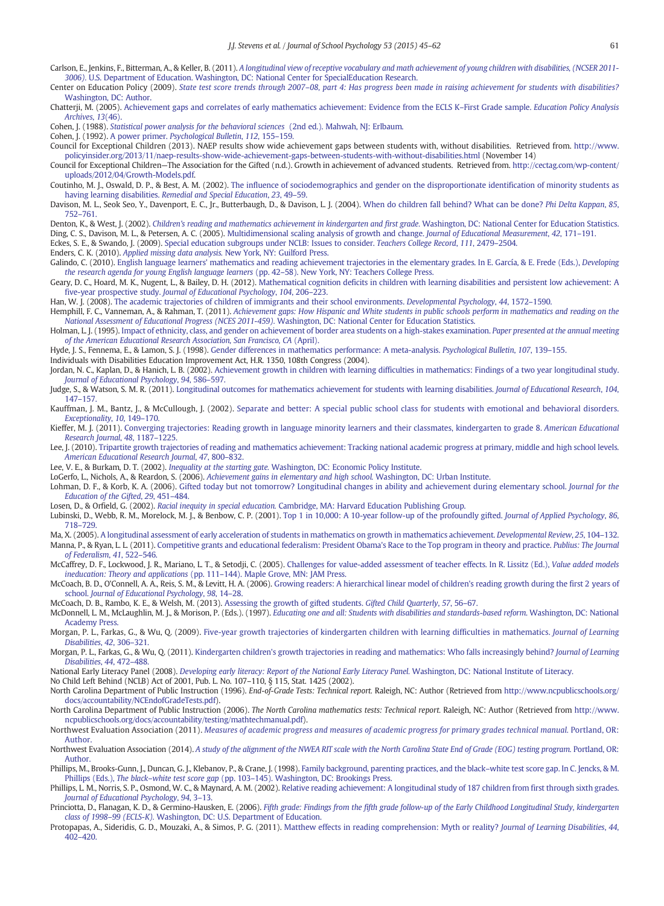- <span id="page-16-0"></span>Carlson, E., Jenkins, F., Bitterman, A., & Keller, B. (2011). [A longitudinal view of receptive vocabulary and math achievement of young children with disabilities, \(NCSER 2011-](http://refhub.elsevier.com/S0022-4405(14)00084-3/rf0395) 3006). [U.S. Department of Education. Washington, DC: National Center for SpecialEducation Research.](http://refhub.elsevier.com/S0022-4405(14)00084-3/rf0395)
- Center on Education Policy (2009). State test score trends through 2007–[08, part 4: Has progress been made in raising achievement for students with disabilities?](http://refhub.elsevier.com/S0022-4405(14)00084-3/rf0035) [Washington, DC: Author.](http://refhub.elsevier.com/S0022-4405(14)00084-3/rf0035)
- Chatterji, M. (2005). [Achievement gaps and correlates of early mathematics achievement: Evidence from the ECLS K](http://refhub.elsevier.com/S0022-4405(14)00084-3/rf0040)–First Grade sample. Education Policy Analysis [Archives](http://refhub.elsevier.com/S0022-4405(14)00084-3/rf0040), 13(46).
- Cohen, J. (1988). [Statistical power analysis for the behavioral sciences](http://refhub.elsevier.com/S0022-4405(14)00084-3/rf0045) (2nd ed.). Mahwah, NJ: Erlbaum.
- Cohen, J. (1992). A power primer. [Psychological Bulletin](http://refhub.elsevier.com/S0022-4405(14)00084-3/rf0050), 112, 155–159.
- Council for Exceptional Children (2013). NAEP results show wide achievement gaps between students with, without disabilities. Retrieved from. [http://www.](http://www.policyinsider.org/2013/11/naep-results-show-wide-achievement-gaps-between-students-with-without-disabilities.html) [policyinsider.org/2013/11/naep-results-show-wide-achievement-gaps-between-students-with-without-disabilities.html](http://www.policyinsider.org/2013/11/naep-results-show-wide-achievement-gaps-between-students-with-without-disabilities.html) (November 14)
- Council for Exceptional Children—The Association for the Gifted (n.d.). Growth in achievement of advanced students. Retrieved from. [http://cectag.com/wp-content/](http://cectag.com/wp-content/uploads/2012/04/Growth-Models.pdf) [uploads/2012/04/Growth-Models.pdf.](http://cectag.com/wp-content/uploads/2012/04/Growth-Models.pdf)
- Coutinho, M. J., Oswald, D. P., & Best, A. M. (2002). [The influence of sociodemographics and gender on the disproportionate identification of minority students as](http://refhub.elsevier.com/S0022-4405(14)00084-3/rf0055) having learning disabilities. [Remedial and Special Education](http://refhub.elsevier.com/S0022-4405(14)00084-3/rf0055), 23, 49–59.
- Davison, M. L., Seok Seo, Y., Davenport, E. C., Jr., Butterbaugh, D., & Davison, L. J. (2004). [When do children fall behind? What can be done?](http://refhub.elsevier.com/S0022-4405(14)00084-3/rf0060) Phi Delta Kappan, 85, 752–[761.](http://refhub.elsevier.com/S0022-4405(14)00084-3/rf0060)
- Denton, K., & West, J. (2002). [Children's reading and mathematics achievement in kindergarten and first grade.](http://refhub.elsevier.com/S0022-4405(14)00084-3/rf0065) Washington, DC: National Center for Education Statistics. Ding, C. S., Davison, M. L., & Petersen, A. C. (2005). [Multidimensional scaling analysis of growth and change.](http://refhub.elsevier.com/S0022-4405(14)00084-3/rf0070) Journal of Educational Measurement, 42, 171–191.
- Eckes, S. E., & Swando, J. (2009). [Special education subgroups under NCLB: Issues to consider.](http://refhub.elsevier.com/S0022-4405(14)00084-3/rf0075) Teachers College Record, 111, 2479–2504.
- Enders, C. K. (2010). Applied missing data analysis. [New York, NY: Guilford Press.](http://refhub.elsevier.com/S0022-4405(14)00084-3/rf0080)
- Galindo, C. (2010). [English language learners' mathematics and reading achievement trajectories in the elementary grades. In E. García, & E. Frede \(Eds.\),](http://refhub.elsevier.com/S0022-4405(14)00084-3/rf0085) Developing
- [the research agenda for young English language learners](http://refhub.elsevier.com/S0022-4405(14)00084-3/rf0085) (pp. 42–58). New York, NY: Teachers College Press.<br>Geary, D. C., Hoard, M. K., Nugent, L., & Bailey, D. H. (2012). Mathematical cognition deficits in children with le five-year prospective study. [Journal of Educational Psychology](http://refhub.elsevier.com/S0022-4405(14)00084-3/rf0090), 104, 206–223.
- Han, W. J. (2008). [The academic trajectories of children of immigrants and their school environments.](http://refhub.elsevier.com/S0022-4405(14)00084-3/rf0095) Developmental Psychology, 44, 1572–1590.
- Hemphill, F. C., Vanneman, A., & Rahman, T. (2011). [Achievement gaps: How Hispanic and White students in public schools perform in mathematics and reading on the](http://refhub.elsevier.com/S0022-4405(14)00084-3/rf0100) [National Assessment of Educational Progress \(NCES 2011-459\).](http://refhub.elsevier.com/S0022-4405(14)00084-3/rf0100) Washington, DC: National Center for Education Statistics.
- Holman, L. J. (1995). [Impact of ethnicity, class, and gender on achievement of border area students on a high-stakes examination.](http://refhub.elsevier.com/S0022-4405(14)00084-3/rf0410) Paper presented at the annual meeting [of the American Educational Research Association, San Francisco, CA](http://refhub.elsevier.com/S0022-4405(14)00084-3/rf0410) (April).
- Hyde, J. S., Fennema, E., & Lamon, S. J. (1998). [Gender differences in mathematics performance: A meta-analysis.](http://refhub.elsevier.com/S0022-4405(14)00084-3/rf0110) Psychological Bulletin, 107, 139–155.
- Individuals with Disabilities Education Improvement Act, H.R. 1350, 108th Congress (2004).
- Jordan, N. C., Kaplan, D., & Hanich, L. B. (2002). [Achievement growth in children with learning difficulties in mathematics: Findings of a two year longitudinal study.](http://refhub.elsevier.com/S0022-4405(14)00084-3/rf0115) [Journal of Educational Psychology](http://refhub.elsevier.com/S0022-4405(14)00084-3/rf0115), 94, 586–597.
- Judge, S., & Watson, S. M. R. (2011). [Longitudinal outcomes for mathematics achievement for students with learning disabilities.](http://refhub.elsevier.com/S0022-4405(14)00084-3/rf0120) Journal of Educational Research, 104, 147–[157.](http://refhub.elsevier.com/S0022-4405(14)00084-3/rf0120)
- Kauffman, J. M., Bantz, J., & McCullough, J. (2002). [Separate and better: A special public school class for students with emotional and behavioral disorders.](http://refhub.elsevier.com/S0022-4405(14)00084-3/rf0125) [Exceptionality](http://refhub.elsevier.com/S0022-4405(14)00084-3/rf0125), 10, 149–170.
- Kieffer, M. J. (2011). [Converging trajectories: Reading growth in language minority learners and their classmates, kindergarten to grade 8.](http://refhub.elsevier.com/S0022-4405(14)00084-3/rf0130) American Educational [Research Journal](http://refhub.elsevier.com/S0022-4405(14)00084-3/rf0130), 48, 1187–1225.
- Lee, J. (2010). [Tripartite growth trajectories of reading and mathematics achievement: Tracking national academic progress at primary, middle and high school levels.](http://refhub.elsevier.com/S0022-4405(14)00084-3/rf0135) [American Educational Research Journal](http://refhub.elsevier.com/S0022-4405(14)00084-3/rf0135), 47, 800–832.
- Lee, V. E., & Burkam, D. T. (2002). Inequality at the starting gate. [Washington, DC: Economic Policy Institute.](http://refhub.elsevier.com/S0022-4405(14)00084-3/rf0140)
- LoGerfo, L., Nichols, A., & Reardon, S. (2006). [Achievement gains in elementary and high school.](http://refhub.elsevier.com/S0022-4405(14)00084-3/rf0145) Washington, DC: Urban Institute.
- Lohman, D. F., & Korb, K. A. (2006). [Gifted today but not tomorrow? Longitudinal changes in ability and achievement during elementary school.](http://refhub.elsevier.com/S0022-4405(14)00084-3/rf0150) Journal for the [Education of the Gifted](http://refhub.elsevier.com/S0022-4405(14)00084-3/rf0150), 29, 451–484.
- Losen, D., & Orfield, G. (2002). Racial inequity in special education. [Cambridge, MA: Harvard Education Publishing Group.](http://refhub.elsevier.com/S0022-4405(14)00084-3/rf0155)
- Lubinski, D., Webb, R. M., Morelock, M. J., & Benbow, C. P. (2001). [Top 1 in 10,000: A 10-year follow-up of the profoundly gifted.](http://refhub.elsevier.com/S0022-4405(14)00084-3/rf0160) Journal of Applied Psychology, 86, 718–[729.](http://refhub.elsevier.com/S0022-4405(14)00084-3/rf0160)
- Ma, X. (2005). [A longitudinal assessment of early acceleration of students in mathematics on growth in mathematics achievement.](http://refhub.elsevier.com/S0022-4405(14)00084-3/rf0165) Developmental Review, 25, 104–132. Manna, P., & Ryan, L. L. (2011). [Competitive grants and educational federalism: President Obama's Race to the Top program in theory and practice.](http://refhub.elsevier.com/S0022-4405(14)00084-3/rf0170) Publius: The Journal [of Federalism](http://refhub.elsevier.com/S0022-4405(14)00084-3/rf0170), 41, 522–546.
- McCaffrey, D. F., Lockwood, J. R., Mariano, L. T., & Setodji, C. (2005). [Challenges for value-added assessment of teacher effects. In R. Lissitz \(Ed.\),](http://refhub.elsevier.com/S0022-4405(14)00084-3/rf0415) Value added models [ineducation: Theory and applications](http://refhub.elsevier.com/S0022-4405(14)00084-3/rf0415) (pp. 111–144). Maple Grove, MN: JAM Press.
- McCoach, B. D., O'Connell, A. A., Reis, S. M., & Levitt, H. A. (2006). [Growing readers: A hierarchical linear model of children's reading growth during the first 2 years of](http://refhub.elsevier.com/S0022-4405(14)00084-3/rf0180) school. [Journal of Educational Psychology](http://refhub.elsevier.com/S0022-4405(14)00084-3/rf0180), 98, 14–28.
- McCoach, D. B., Rambo, K. E., & Welsh, M. (2013). [Assessing the growth of gifted students.](http://refhub.elsevier.com/S0022-4405(14)00084-3/rf0185) Gifted Child Quarterly, 57, 56–67.
- McDonnell, L. M., McLaughlin, M. J., & Morison, P. (Eds.). (1997). [Educating one and all: Students with disabilities and standards-based reform](http://refhub.elsevier.com/S0022-4405(14)00084-3/rf0190). Washington, DC: National [Academy Press.](http://refhub.elsevier.com/S0022-4405(14)00084-3/rf0190)
- Morgan, P. L., Farkas, G., & Wu, Q. (2009). [Five-year growth trajectories of kindergarten children with learning difficulties in mathematics.](http://refhub.elsevier.com/S0022-4405(14)00084-3/rf0195) Journal of Learning [Disabilities](http://refhub.elsevier.com/S0022-4405(14)00084-3/rf0195), 42, 306–321.
- Morgan, P. L., Farkas, G., & Wu, Q. (2011). [Kindergarten children's growth trajectories in reading and mathematics: Who falls increasingly behind?](http://refhub.elsevier.com/S0022-4405(14)00084-3/rf0200) Journal of Learning [Disabilities](http://refhub.elsevier.com/S0022-4405(14)00084-3/rf0200), 44, 472–488.
- National Early Literacy Panel (2008). [Developing early literacy: Report of the National Early Literacy Panel.](http://refhub.elsevier.com/S0022-4405(14)00084-3/rf0205) Washington, DC: National Institute of Literacy.
- No Child Left Behind (NCLB) Act of 2001, Pub. L. No. 107–110, § 115, Stat. 1425 (2002).
- North Carolina Department of Public Instruction (1996). End-of-Grade Tests: Technical report. Raleigh, NC: Author (Retrieved from [http://www.ncpublicschools.org/](http://www.ncpublicschools.org/docs/accountability/NCEndofGradeTests.pdf) [docs/accountability/NCEndofGradeTests.pdf\)](http://www.ncpublicschools.org/docs/accountability/NCEndofGradeTests.pdf).
- North Carolina Department of Public Instruction (2006). The North Carolina mathematics tests: Technical report. Raleigh, NC: Author (Retrieved from [http://www.](http://www.ncpublicschools.org/docs/accountability/testing/mathtechmanual.pdf) [ncpublicschools.org/docs/accountability/testing/mathtechmanual.pdf](http://www.ncpublicschools.org/docs/accountability/testing/mathtechmanual.pdf)).
- Northwest Evaluation Association (2011). [Measures of academic progress and measures of academic progress for primary grades technical manual.](http://refhub.elsevier.com/S0022-4405(14)00084-3/rf5455) Portland, OR: [Author.](http://refhub.elsevier.com/S0022-4405(14)00084-3/rf5455)
- Northwest Evaluation Association (2014). [A study of the alignment of the NWEA RIT scale with the North Carolina State End of Grade \(EOG\) testing program.](http://refhub.elsevier.com/S0022-4405(14)00084-3/rf0220) Portland, OR: [Author.](http://refhub.elsevier.com/S0022-4405(14)00084-3/rf0220)
- Phillips, M., Brooks-Gunn, J., Duncan, G. J., Klebanov, P., & Crane, J. (1998). [Family background, parenting practices, and the black](http://refhub.elsevier.com/S0022-4405(14)00084-3/rf0225)–white test score gap. In C. Jencks, & M. Phillips (Eds.), The black-white test score gap (pp. 103-[145\). Washington, DC: Brookings Press.](http://refhub.elsevier.com/S0022-4405(14)00084-3/rf0225)
- Phillips, L. M., Norris, S. P., Osmond, W. C., & Maynard, A. M. (2002). [Relative reading achievement: A longitudinal study of 187 children from first through sixth grades.](http://refhub.elsevier.com/S0022-4405(14)00084-3/rf0230) [Journal of Educational Psychology](http://refhub.elsevier.com/S0022-4405(14)00084-3/rf0230), 94, 3–13.
- Princiotta, D., Flanagan, K. D., & Germino-Hausken, E. (2006). [Fifth grade: Findings from the fifth grade follow-up of the Early Childhood Longitudinal Study, kindergarten](http://refhub.elsevier.com/S0022-4405(14)00084-3/rf0235) class of 1998–99 (ECLS-K). [Washington, DC: U.S. Department of Education.](http://refhub.elsevier.com/S0022-4405(14)00084-3/rf0235)
- Protopapas, A., Sideridis, G. D., Mouzaki, A., & Simos, P. G. (2011). [Matthew effects in reading comprehension: Myth or reality?](http://refhub.elsevier.com/S0022-4405(14)00084-3/rf0240) Journal of Learning Disabilities, 44, 402–[420.](http://refhub.elsevier.com/S0022-4405(14)00084-3/rf0240)